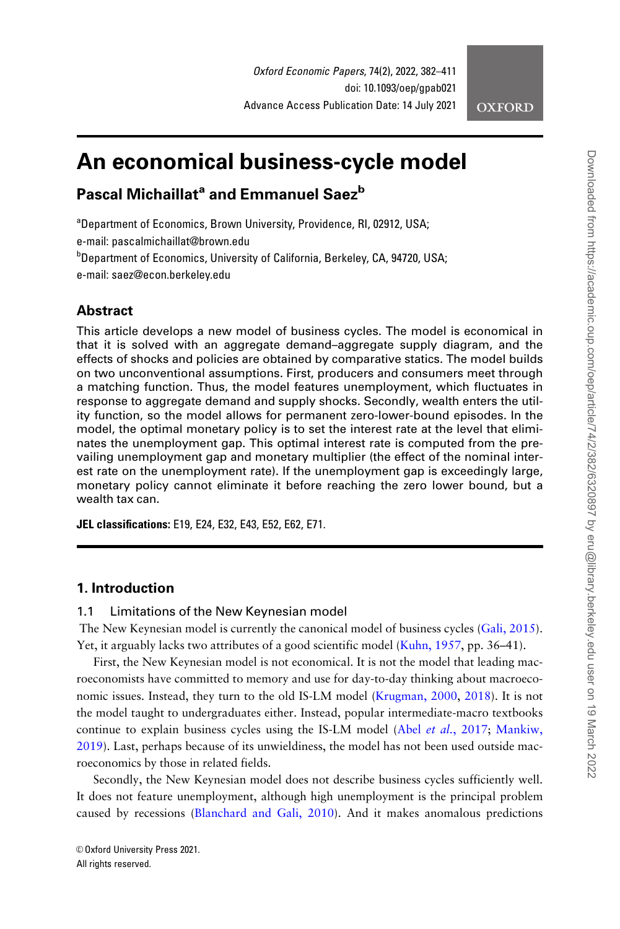**OXFORD** 

# An economical business-cycle model

# Pascal Michaillat<sup>a</sup> and Emmanuel Saez<sup>b</sup>

<sup>a</sup>Department of Economics, Brown University, Providence, RI, 02912, USA; e-mail: pascalmichaillat@brown.edu b Department of Economics, University of California, Berkeley, CA, 94720, USA; e-mail: saez@econ.berkeley.edu

# **Abstract**

This article develops a new model of business cycles. The model is economical in that it is solved with an aggregate demand–aggregate supply diagram, and the effects of shocks and policies are obtained by comparative statics. The model builds on two unconventional assumptions. First, producers and consumers meet through a matching function. Thus, the model features unemployment, which fluctuates in response to aggregate demand and supply shocks. Secondly, wealth enters the utility function, so the model allows for permanent zero-lower-bound episodes. In the model, the optimal monetary policy is to set the interest rate at the level that eliminates the unemployment gap. This optimal interest rate is computed from the prevailing unemployment gap and monetary multiplier (the effect of the nominal interest rate on the unemployment rate). If the unemployment gap is exceedingly large, monetary policy cannot eliminate it before reaching the zero lower bound, but a wealth tax can.

JEL classifications: E19, E24, E32, E43, E52, E62, E71.

# 1. Introduction

## 1.1 Limitations of the New Keynesian model

The New Keynesian model is currently the canonical model of business cycles [\(Gali, 2015](#page-27-0)). Yet, it arguably lacks two attributes of a good scientific model ([Kuhn, 1957](#page-28-0), pp. 36–41).

First, the New Keynesian model is not economical. It is not the model that leading macroeconomists have committed to memory and use for day-to-day thinking about macroeconomic issues. Instead, they turn to the old IS-LM model [\(Krugman, 2000](#page-28-0), [2018](#page-28-0)). It is not the model taught to undergraduates either. Instead, popular intermediate-macro textbooks continue to explain business cycles using the IS-LM model (Abel *et al.*[, 2017](#page-26-0); [Mankiw,](#page-28-0) [2019](#page-28-0)). Last, perhaps because of its unwieldiness, the model has not been used outside macroeconomics by those in related fields.

Secondly, the New Keynesian model does not describe business cycles sufficiently well. It does not feature unemployment, although high unemployment is the principal problem caused by recessions ([Blanchard and Gali, 2010](#page-27-0)). And it makes anomalous predictions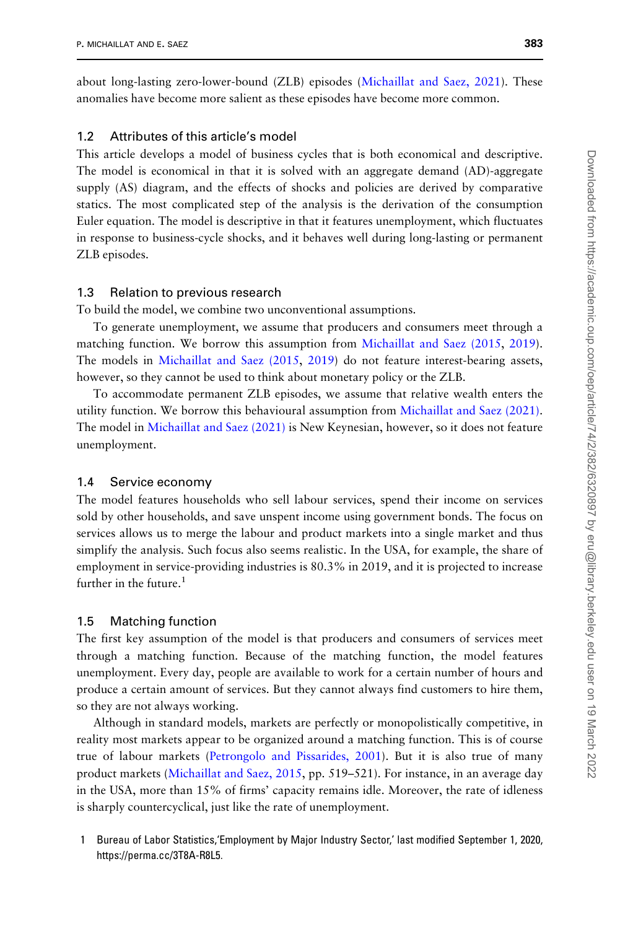about long-lasting zero-lower-bound (ZLB) episodes ([Michaillat and Saez, 2021\)](#page-28-0). These anomalies have become more salient as these episodes have become more common.

## 1.2 Attributes of this article's model

This article develops a model of business cycles that is both economical and descriptive. The model is economical in that it is solved with an aggregate demand (AD)-aggregate supply (AS) diagram, and the effects of shocks and policies are derived by comparative statics. The most complicated step of the analysis is the derivation of the consumption Euler equation. The model is descriptive in that it features unemployment, which fluctuates in response to business-cycle shocks, and it behaves well during long-lasting or permanent ZLB episodes.

## 1.3 Relation to previous research

To build the model, we combine two unconventional assumptions.

To generate unemployment, we assume that producers and consumers meet through a matching function. We borrow this assumption from [Michaillat and Saez \(2015,](#page-28-0) [2019](#page-28-0)). The models in [Michaillat and Saez \(2015,](#page-28-0) [2019\)](#page-28-0) do not feature interest-bearing assets, however, so they cannot be used to think about monetary policy or the ZLB.

To accommodate permanent ZLB episodes, we assume that relative wealth enters the utility function. We borrow this behavioural assumption from [Michaillat and Saez \(2021\)](#page-28-0). The model in [Michaillat and Saez \(2021\)](#page-28-0) is New Keynesian, however, so it does not feature unemployment.

## 1.4 Service economy

The model features households who sell labour services, spend their income on services sold by other households, and save unspent income using government bonds. The focus on services allows us to merge the labour and product markets into a single market and thus simplify the analysis. Such focus also seems realistic. In the USA, for example, the share of employment in service-providing industries is 80.3% in 2019, and it is projected to increase further in the future.<sup>1</sup>

## 1.5 Matching function

The first key assumption of the model is that producers and consumers of services meet through a matching function. Because of the matching function, the model features unemployment. Every day, people are available to work for a certain number of hours and produce a certain amount of services. But they cannot always find customers to hire them, so they are not always working.

Although in standard models, markets are perfectly or monopolistically competitive, in reality most markets appear to be organized around a matching function. This is of course true of labour markets ([Petrongolo and Pissarides, 2001](#page-28-0)). But it is also true of many product markets ([Michaillat and Saez, 2015,](#page-28-0) pp. 519–521). For instance, in an average day in the USA, more than 15% of firms' capacity remains idle. Moreover, the rate of idleness is sharply countercyclical, just like the rate of unemployment.

1 Bureau of Labor Statistics,'Employment by Major Industry Sector,' last modified September 1, 2020, <https://perma.cc/3T8A-R8L5>.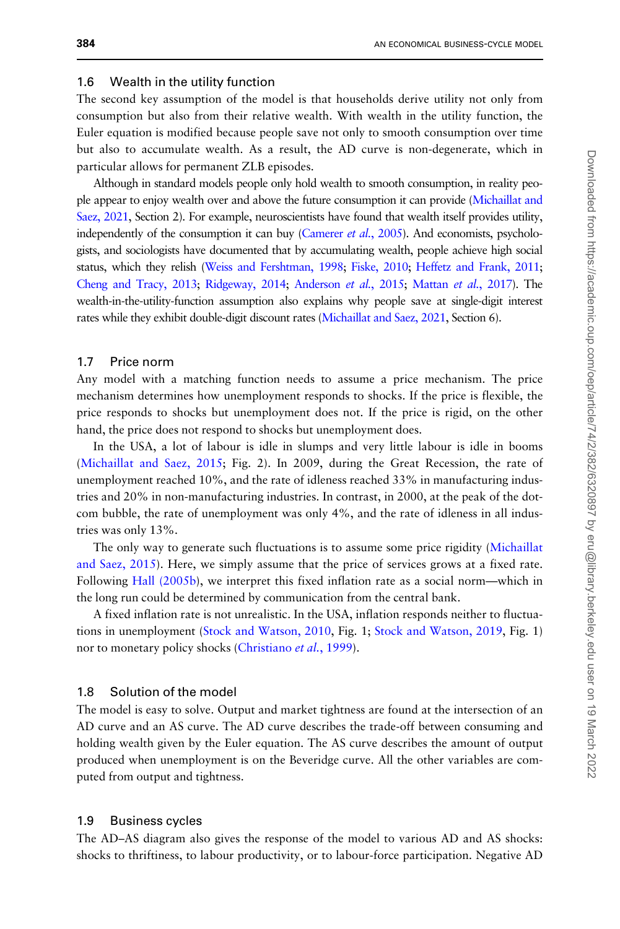#### 1.6 Wealth in the utility function

The second key assumption of the model is that households derive utility not only from consumption but also from their relative wealth. With wealth in the utility function, the Euler equation is modified because people save not only to smooth consumption over time but also to accumulate wealth. As a result, the AD curve is non-degenerate, which in particular allows for permanent ZLB episodes.

Although in standard models people only hold wealth to smooth consumption, in reality people appear to enjoy wealth over and above the future consumption it can provide [\(Michaillat and](#page-28-0) [Saez, 2021,](#page-28-0) Section 2). For example, neuroscientists have found that wealth itself provides utility, independently of the consumption it can buy [\(Camerer](#page-27-0) *et al.*, 2005). And economists, psychologists, and sociologists have documented that by accumulating wealth, people achieve high social status, which they relish [\(Weiss and Fershtman, 1998](#page-29-0); [Fiske, 2010](#page-27-0); [Heffetz and Frank, 2011](#page-28-0); [Cheng and Tracy, 2013;](#page-27-0) [Ridgeway, 2014](#page-29-0); [Anderson](#page-26-0) et al., 2015; [Mattan](#page-28-0) et al., 2017). The wealth-in-the-utility-function assumption also explains why people save at single-digit interest rates while they exhibit double-digit discount rates ([Michaillat and Saez, 2021](#page-28-0), Section 6).

#### 1.7 Price norm

Any model with a matching function needs to assume a price mechanism. The price mechanism determines how unemployment responds to shocks. If the price is flexible, the price responds to shocks but unemployment does not. If the price is rigid, on the other hand, the price does not respond to shocks but unemployment does.

In the USA, a lot of labour is idle in slumps and very little labour is idle in booms [\(Michaillat and Saez, 2015;](#page-28-0) Fig. 2). In 2009, during the Great Recession, the rate of unemployment reached 10%, and the rate of idleness reached 33% in manufacturing industries and 20% in non-manufacturing industries. In contrast, in 2000, at the peak of the dotcom bubble, the rate of unemployment was only 4%, and the rate of idleness in all industries was only 13%.

The only way to generate such fluctuations is to assume some price rigidity ([Michaillat](#page-28-0) [and Saez, 2015\)](#page-28-0). Here, we simply assume that the price of services grows at a fixed rate. Following [Hall \(2005b\)](#page-27-0), we interpret this fixed inflation rate as a social norm—which in the long run could be determined by communication from the central bank.

A fixed inflation rate is not unrealistic. In the USA, inflation responds neither to fluctuations in unemployment [\(Stock and Watson, 2010](#page-29-0), Fig. 1; [Stock and Watson, 2019,](#page-29-0) Fig. 1) nor to monetary policy shocks ([Christiano](#page-27-0) et al., 1999).

#### 1.8 Solution of the model

The model is easy to solve. Output and market tightness are found at the intersection of an AD curve and an AS curve. The AD curve describes the trade-off between consuming and holding wealth given by the Euler equation. The AS curve describes the amount of output produced when unemployment is on the Beveridge curve. All the other variables are computed from output and tightness.

#### 1.9 Business cycles

The AD–AS diagram also gives the response of the model to various AD and AS shocks: shocks to thriftiness, to labour productivity, or to labour-force participation. Negative AD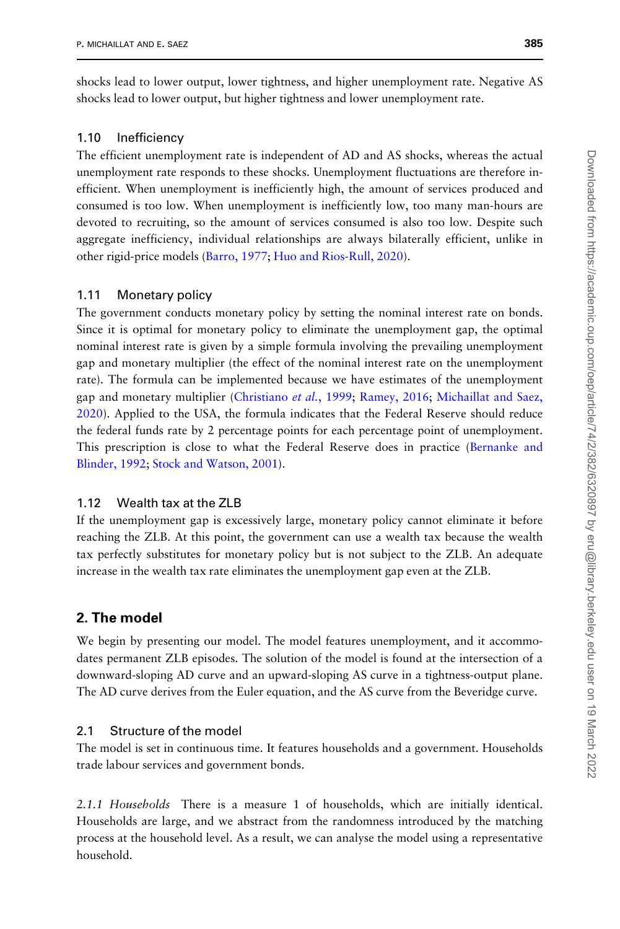shocks lead to lower output, lower tightness, and higher unemployment rate. Negative AS shocks lead to lower output, but higher tightness and lower unemployment rate.

## 1.10 Inefficiency

The efficient unemployment rate is independent of AD and AS shocks, whereas the actual unemployment rate responds to these shocks. Unemployment fluctuations are therefore inefficient. When unemployment is inefficiently high, the amount of services produced and consumed is too low. When unemployment is inefficiently low, too many man-hours are devoted to recruiting, so the amount of services consumed is also too low. Despite such aggregate inefficiency, individual relationships are always bilaterally efficient, unlike in other rigid-price models ([Barro, 1977;](#page-27-0) [Huo and Rios-Rull, 2020\)](#page-28-0).

## 1.11 Monetary policy

The government conducts monetary policy by setting the nominal interest rate on bonds. Since it is optimal for monetary policy to eliminate the unemployment gap, the optimal nominal interest rate is given by a simple formula involving the prevailing unemployment gap and monetary multiplier (the effect of the nominal interest rate on the unemployment rate). The formula can be implemented because we have estimates of the unemployment gap and monetary multiplier [\(Christiano](#page-27-0) et al., 1999; [Ramey, 2016](#page-29-0); [Michaillat and Saez,](#page-28-0) [2020](#page-28-0)). Applied to the USA, the formula indicates that the Federal Reserve should reduce the federal funds rate by 2 percentage points for each percentage point of unemployment. This prescription is close to what the Federal Reserve does in practice [\(Bernanke and](#page-27-0) [Blinder, 1992](#page-27-0); [Stock and Watson, 2001\)](#page-29-0).

## 1.12 Wealth tax at the ZLB

If the unemployment gap is excessively large, monetary policy cannot eliminate it before reaching the ZLB. At this point, the government can use a wealth tax because the wealth tax perfectly substitutes for monetary policy but is not subject to the ZLB. An adequate increase in the wealth tax rate eliminates the unemployment gap even at the ZLB.

## 2. The model

We begin by presenting our model. The model features unemployment, and it accommodates permanent ZLB episodes. The solution of the model is found at the intersection of a downward-sloping AD curve and an upward-sloping AS curve in a tightness-output plane. The AD curve derives from the Euler equation, and the AS curve from the Beveridge curve.

## 2.1 Structure of the model

The model is set in continuous time. It features households and a government. Households trade labour services and government bonds.

2.1.1 Households There is a measure 1 of households, which are initially identical. Households are large, and we abstract from the randomness introduced by the matching process at the household level. As a result, we can analyse the model using a representative household.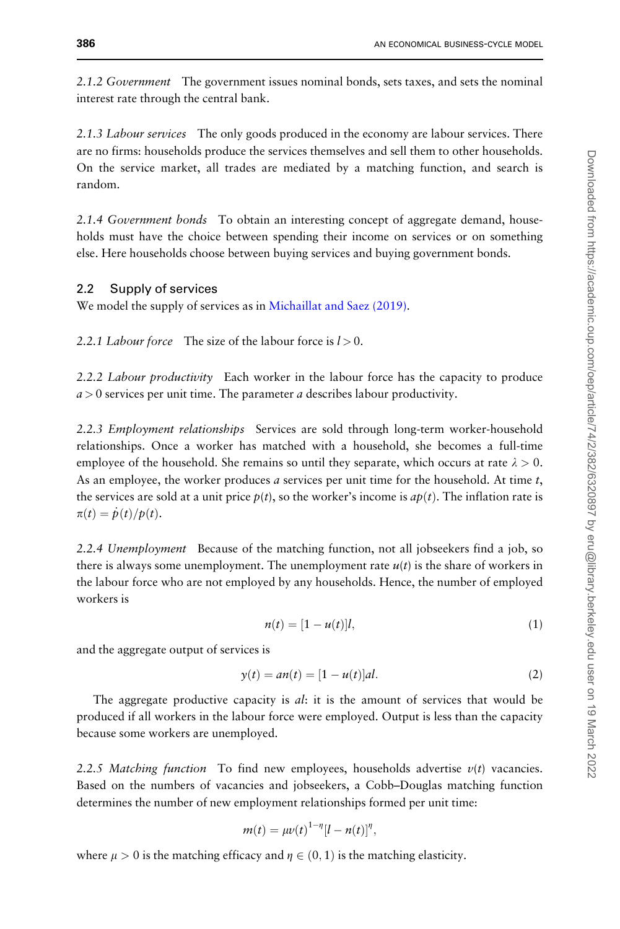<span id="page-4-0"></span>2.1.2 Government The government issues nominal bonds, sets taxes, and sets the nominal interest rate through the central bank.

2.1.3 Labour services The only goods produced in the economy are labour services. There are no firms: households produce the services themselves and sell them to other households. On the service market, all trades are mediated by a matching function, and search is random.

2.1.4 Government bonds To obtain an interesting concept of aggregate demand, households must have the choice between spending their income on services or on something else. Here households choose between buying services and buying government bonds.

#### 2.2 Supply of services

We model the supply of services as in [Michaillat and Saez \(2019\)](#page-28-0).

2.2.1 Labour force The size of the labour force is  $l > 0$ .

2.2.2 Labour productivity Each worker in the labour force has the capacity to produce  $a > 0$  services per unit time. The parameter a describes labour productivity.

2.2.3 Employment relationships Services are sold through long-term worker-household relationships. Once a worker has matched with a household, she becomes a full-time employee of the household. She remains so until they separate, which occurs at rate  $\lambda > 0$ . As an employee, the worker produces  $a$  services per unit time for the household. At time  $t$ , the services are sold at a unit price  $p(t)$ , so the worker's income is  $ap(t)$ . The inflation rate is  $\pi(t) = \dot{p}(t)/p(t).$ 

2.2.4 Unemployment Because of the matching function, not all jobseekers find a job, so there is always some unemployment. The unemployment rate  $u(t)$  is the share of workers in the labour force who are not employed by any households. Hence, the number of employed workers is

$$
n(t) = [1 - u(t)]l, \tag{1}
$$

and the aggregate output of services is

$$
y(t) = an(t) = [1 - u(t)]al.
$$
 (2)

The aggregate productive capacity is *al*: it is the amount of services that would be produced if all workers in the labour force were employed. Output is less than the capacity because some workers are unemployed.

2.2.5 Matching function To find new employees, households advertise  $v(t)$  vacancies. Based on the numbers of vacancies and jobseekers, a Cobb–Douglas matching function determines the number of new employment relationships formed per unit time:

$$
m(t) = \mu v(t)^{1-\eta} [l - n(t)]^{\eta},
$$

where  $\mu > 0$  is the matching efficacy and  $\eta \in (0, 1)$  is the matching elasticity.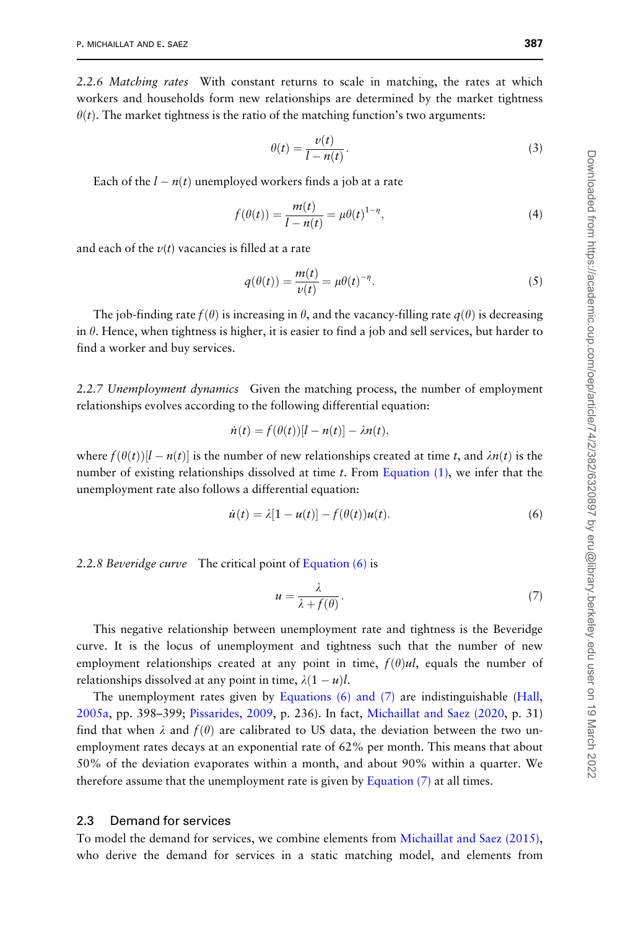<span id="page-5-0"></span>2.2.6 Matching rates With constant returns to scale in matching, the rates at which workers and households form new relationships are determined by the market tightness  $\theta(t)$ . The market tightness is the ratio of the matching function's two arguments:

$$
\theta(t) = \frac{v(t)}{l - n(t)}.\tag{3}
$$

Each of the  $l - n(t)$  unemployed workers finds a job at a rate

$$
f(\theta(t)) = \frac{m(t)}{1 - n(t)} = \mu \theta(t)^{1 - \eta},
$$
\n(4)

and each of the  $v(t)$  vacancies is filled at a rate

$$
q(\theta(t)) = \frac{m(t)}{\nu(t)} = \mu\theta(t)^{-\eta}.
$$
\n(5)

The job-finding rate  $f(\theta)$  is increasing in  $\theta$ , and the vacancy-filling rate  $q(\theta)$  is decreasing in  $\theta$ . Hence, when tightness is higher, it is easier to find a job and sell services, but harder to find a worker and buy services.

2.2.7 Unemployment dynamics Given the matching process, the number of employment relationships evolves according to the following differential equation:

$$
\dot{n}(t) = f(\theta(t))[l - n(t)] - \lambda n(t),
$$

where  $f(\theta(t))[l - n(t)]$  is the number of new relationships created at time t, and  $\lambda n(t)$  is the number of existing relationships dissolved at time t. From Equation  $(1)$ , we infer that the unemployment rate also follows a differential equation:

$$
\dot{u}(t) = \lambda[1 - u(t)] - f(\theta(t))u(t).
$$
\n(6)

2.2.8 Beveridge curve The critical point of Equation (6) is

$$
u = \frac{\lambda}{\lambda + f(\theta)}.\tag{7}
$$

This negative relationship between unemployment rate and tightness is the Beveridge curve. It is the locus of unemployment and tightness such that the number of new employment relationships created at any point in time,  $f(\theta)uI$ , equals the number of relationships dissolved at any point in time,  $\lambda(1 - u)l$ .

The unemployment rates given by Equations (6) and (7) are indistinguishable [\(Hall,](#page-27-0) [2005a,](#page-27-0) pp. 398–399; [Pissarides, 2009,](#page-28-0) p. 236). In fact, [Michaillat and Saez \(2020](#page-28-0), p. 31) find that when  $\lambda$  and  $f(\theta)$  are calibrated to US data, the deviation between the two unemployment rates decays at an exponential rate of 62% per month. This means that about 50% of the deviation evaporates within a month, and about 90% within a quarter. We therefore assume that the unemployment rate is given by Equation (7) at all times.

#### 2.3 Demand for services

To model the demand for services, we combine elements from [Michaillat and Saez \(2015\)](#page-28-0), who derive the demand for services in a static matching model, and elements from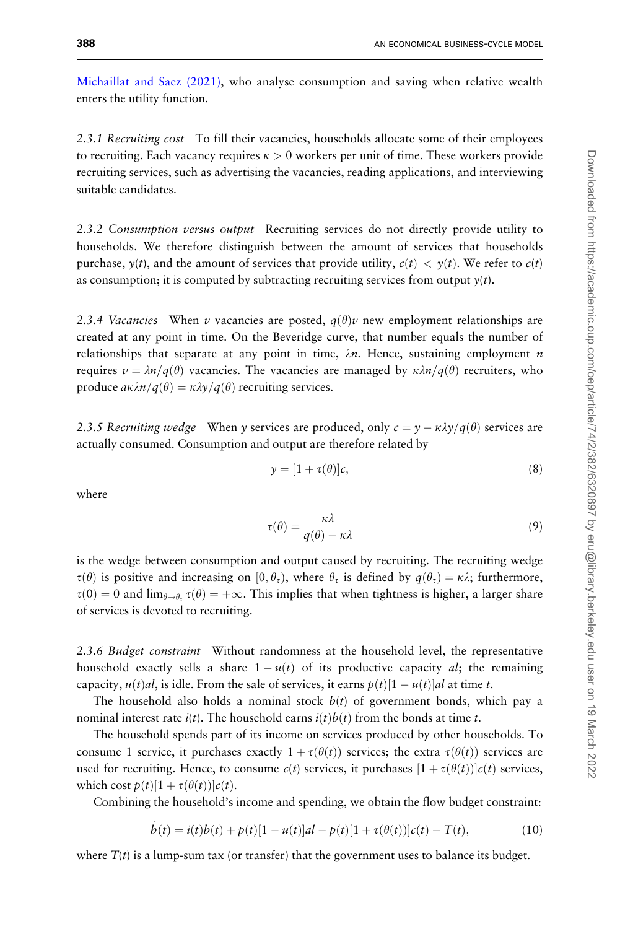<span id="page-6-0"></span>[Michaillat and Saez \(2021\),](#page-28-0) who analyse consumption and saving when relative wealth enters the utility function.

2.3.1 Recruiting cost To fill their vacancies, households allocate some of their employees to recruiting. Each vacancy requires  $\kappa > 0$  workers per unit of time. These workers provide recruiting services, such as advertising the vacancies, reading applications, and interviewing suitable candidates.

2.3.2 Consumption versus output Recruiting services do not directly provide utility to households. We therefore distinguish between the amount of services that households purchase,  $y(t)$ , and the amount of services that provide utility,  $c(t) \leq y(t)$ . We refer to  $c(t)$ as consumption; it is computed by subtracting recruiting services from output  $y(t)$ .

2.3.4 Vacancies When v vacancies are posted,  $q(\theta)v$  new employment relationships are created at any point in time. On the Beveridge curve, that number equals the number of relationships that separate at any point in time,  $\lambda n$ . Hence, sustaining employment n requires  $v = \lambda n/q(\theta)$  vacancies. The vacancies are managed by  $\kappa \lambda n/q(\theta)$  recruiters, who produce  $a\kappa\lambda n/q(\theta) = \kappa\lambda y/q(\theta)$  recruiting services.

2.3.5 Recruiting wedge When y services are produced, only  $c = y - \kappa \lambda y / q(\theta)$  services are actually consumed. Consumption and output are therefore related by

$$
y = [1 + \tau(\theta)]c,\tag{8}
$$

where

$$
\tau(\theta) = \frac{\kappa \lambda}{q(\theta) - \kappa \lambda} \tag{9}
$$

is the wedge between consumption and output caused by recruiting. The recruiting wedge  $\tau(\theta)$  is positive and increasing on  $[0, \theta_{\tau})$ , where  $\theta_{\tau}$  is defined by  $q(\theta_{\tau}) = \kappa \lambda$ ; furthermore,  $\tau(0) = 0$  and  $\lim_{\theta \to 0} \tau(\theta) = +\infty$ . This implies that when tightness is higher, a larger share of services is devoted to recruiting.

2.3.6 Budget constraint Without randomness at the household level, the representative household exactly sells a share  $1 - u(t)$  of its productive capacity al; the remaining capacity,  $u(t)$ al, is idle. From the sale of services, it earns  $p(t)[1 - u(t)]$ al at time t.

The household also holds a nominal stock  $b(t)$  of government bonds, which pay a nominal interest rate  $i(t)$ . The household earns  $i(t)b(t)$  from the bonds at time t.

The household spends part of its income on services produced by other households. To consume 1 service, it purchases exactly  $1 + \tau(\theta(t))$  services; the extra  $\tau(\theta(t))$  services are used for recruiting. Hence, to consume  $c(t)$  services, it purchases  $[1 + \tau(\theta(t))]c(t)$  services, which cost  $p(t)[1 + \tau(\theta(t))]c(t)$ .

Combining the household's income and spending, we obtain the flow budget constraint:

$$
\dot{b}(t) = i(t)b(t) + p(t)[1 - u(t)]al - p(t)[1 + \tau(\theta(t))]c(t) - T(t),
$$
\n(10)

where  $T(t)$  is a lump-sum tax (or transfer) that the government uses to balance its budget.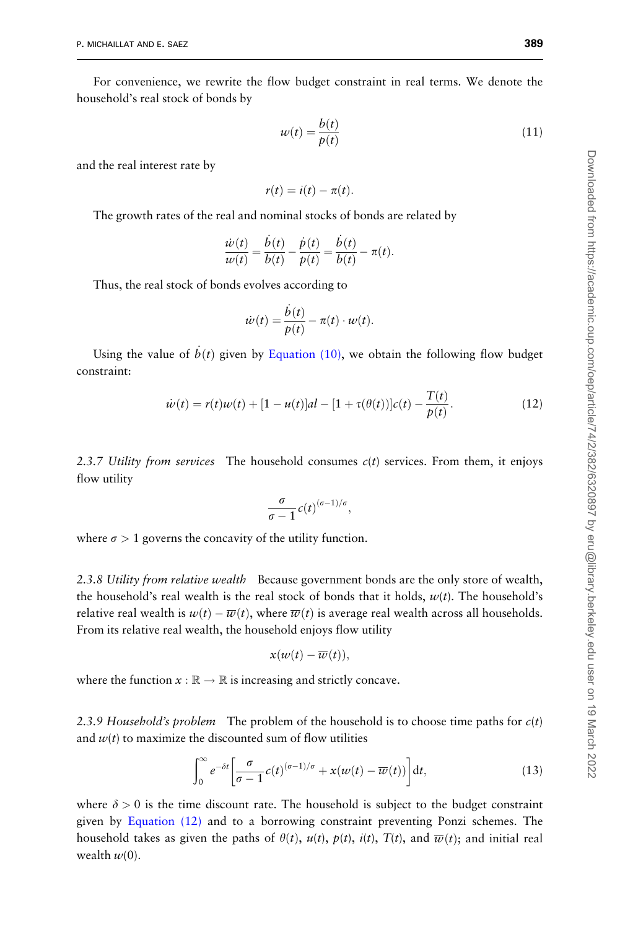<span id="page-7-0"></span>For convenience, we rewrite the flow budget constraint in real terms. We denote the household's real stock of bonds by

$$
w(t) = \frac{b(t)}{p(t)}\tag{11}
$$

and the real interest rate by

$$
r(t) = i(t) - \pi(t).
$$

The growth rates of the real and nominal stocks of bonds are related by

$$
\frac{\dot{w}(t)}{w(t)} = \frac{\dot{b}(t)}{b(t)} - \frac{\dot{p}(t)}{p(t)} = \frac{\dot{b}(t)}{b(t)} - \pi(t).
$$

Thus, the real stock of bonds evolves according to

$$
\dot{w}(t) = \frac{\dot{b}(t)}{p(t)} - \pi(t) \cdot w(t).
$$

Using the value of  $\dot{b}(t)$  given by [Equation \(10\),](#page-6-0) we obtain the following flow budget constraint:

$$
\dot{w}(t) = r(t)w(t) + [1 - u(t)]al - [1 + \tau(\theta(t))]c(t) - \frac{T(t)}{p(t)}.
$$
\n(12)

2.3.7 Utility from services The household consumes  $c(t)$  services. From them, it enjoys flow utility

$$
\frac{\sigma}{\sigma-1}c(t)^{(\sigma-1)/\sigma},
$$

where  $\sigma > 1$  governs the concavity of the utility function.

2.3.8 Utility from relative wealth Because government bonds are the only store of wealth, the household's real wealth is the real stock of bonds that it holds,  $w(t)$ . The household's relative real wealth is  $w(t) - \overline{w}(t)$ , where  $\overline{w}(t)$  is average real wealth across all households. From its relative real wealth, the household enjoys flow utility

$$
x(w(t)-\overline{w}(t)),
$$

where the function  $x : \mathbb{R} \to \mathbb{R}$  is increasing and strictly concave.

2.3.9 Household's problem The problem of the household is to choose time paths for  $c(t)$ and  $w(t)$  to maximize the discounted sum of flow utilities

$$
\int_0^\infty e^{-\delta t} \left[ \frac{\sigma}{\sigma - 1} c(t)^{(\sigma - 1)/\sigma} + x(w(t) - \overline{w}(t)) \right] dt,
$$
\n(13)

where  $\delta > 0$  is the time discount rate. The household is subject to the budget constraint given by Equation (12) and to a borrowing constraint preventing Ponzi schemes. The household takes as given the paths of  $\theta(t)$ ,  $u(t)$ ,  $p(t)$ ,  $i(t)$ ,  $T(t)$ , and  $\overline{w}(t)$ ; and initial real wealth  $w(0)$ .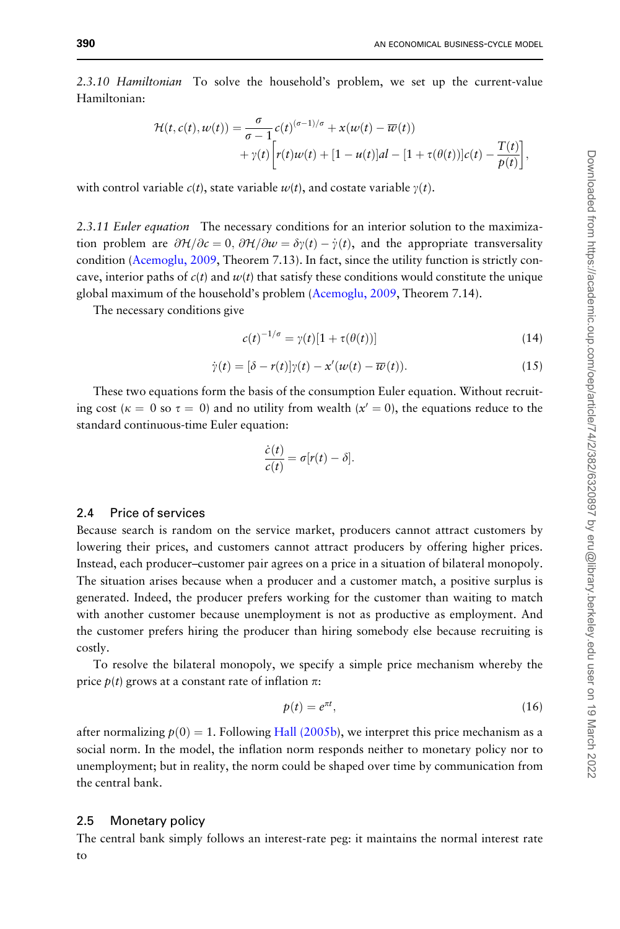<span id="page-8-0"></span>2.3.10 Hamiltonian To solve the household's problem, we set up the current-value Hamiltonian:

$$
\mathcal{H}(t,c(t),w(t)) = \frac{\sigma}{\sigma-1}c(t)^{(\sigma-1)/\sigma} + x(w(t) - \overline{w}(t)) \n+ \gamma(t)\bigg[r(t)w(t) + [1-u(t)]al - [1 + \tau(\theta(t))]c(t) - \frac{T(t)}{p(t)}\bigg],
$$

with control variable  $c(t)$ , state variable  $w(t)$ , and costate variable  $\gamma(t)$ .

2.3.11 Euler equation The necessary conditions for an interior solution to the maximization problem are  $\partial H/\partial c = 0$ ,  $\partial H/\partial w = \delta \gamma(t) - \dot{\gamma}(t)$ , and the appropriate transversality condition ([Acemoglu, 2009,](#page-26-0) Theorem 7.13). In fact, since the utility function is strictly concave, interior paths of  $c(t)$  and  $w(t)$  that satisfy these conditions would constitute the unique global maximum of the household's problem ([Acemoglu, 2009](#page-26-0), Theorem 7.14).

The necessary conditions give

$$
c(t)^{-1/\sigma} = \gamma(t)[1 + \tau(\theta(t))]
$$
\n(14)

$$
\dot{\gamma}(t) = [\delta - r(t)]\gamma(t) - x'(w(t) - \overline{w}(t)).
$$
\n(15)

These two equations form the basis of the consumption Euler equation. Without recruiting cost ( $\kappa = 0$  so  $\tau = 0$ ) and no utility from wealth ( $x' = 0$ ), the equations reduce to the standard continuous-time Euler equation:

$$
\frac{\dot{c}(t)}{c(t)} = \sigma[r(t) - \delta].
$$

## 2.4 Price of services

Because search is random on the service market, producers cannot attract customers by lowering their prices, and customers cannot attract producers by offering higher prices. Instead, each producer–customer pair agrees on a price in a situation of bilateral monopoly. The situation arises because when a producer and a customer match, a positive surplus is generated. Indeed, the producer prefers working for the customer than waiting to match with another customer because unemployment is not as productive as employment. And the customer prefers hiring the producer than hiring somebody else because recruiting is costly.

To resolve the bilateral monopoly, we specify a simple price mechanism whereby the price  $p(t)$  grows at a constant rate of inflation  $\pi$ :

$$
p(t) = e^{\pi t},\tag{16}
$$

after normalizing  $p(0) = 1$ . Following [Hall \(2005b](#page-27-0)), we interpret this price mechanism as a social norm. In the model, the inflation norm responds neither to monetary policy nor to unemployment; but in reality, the norm could be shaped over time by communication from the central bank.

#### 2.5 Monetary policy

The central bank simply follows an interest-rate peg: it maintains the normal interest rate to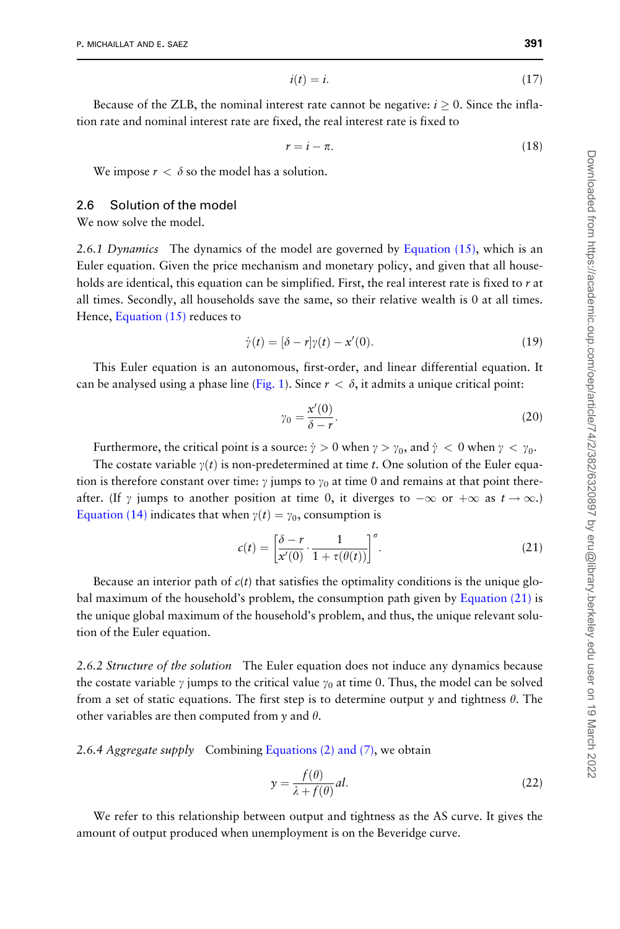$$
i(t) = i. \tag{17}
$$

<span id="page-9-0"></span>Because of the ZLB, the nominal interest rate cannot be negative:  $i \geq 0$ . Since the inflation rate and nominal interest rate are fixed, the real interest rate is fixed to

$$
r = i - \pi. \tag{18}
$$

We impose  $r < \delta$  so the model has a solution.

#### 2.6 Solution of the model

We now solve the model.

2.6.1 Dynamics The dynamics of the model are governed by Equation  $(15)$ , which is an Euler equation. Given the price mechanism and monetary policy, and given that all households are identical, this equation can be simplified. First, the real interest rate is fixed to  $r$  at all times. Secondly, all households save the same, so their relative wealth is 0 at all times. Hence, [Equation \(15\)](#page-8-0) reduces to

$$
\dot{\gamma}(t) = [\delta - r]\gamma(t) - x'(0). \tag{19}
$$

This Euler equation is an autonomous, first-order, and linear differential equation. It can be analysed using a phase line ([Fig. 1](#page-10-0)). Since  $r < \delta$ , it admits a unique critical point:

$$
\gamma_0 = \frac{x'(0)}{\delta - r}.\tag{20}
$$

Furthermore, the critical point is a source:  $\dot{y} > 0$  when  $y > y_0$ , and  $\dot{y} < 0$  when  $y < y_0$ .

The costate variable  $\gamma(t)$  is non-predetermined at time t. One solution of the Euler equation is therefore constant over time:  $\gamma$  jumps to  $\gamma_0$  at time 0 and remains at that point thereafter. (If  $\gamma$  jumps to another position at time 0, it diverges to  $-\infty$  or  $+\infty$  as  $t \to \infty$ .) [Equation \(14\)](#page-8-0) indicates that when  $\gamma(t) = \gamma_0$ , consumption is

$$
c(t) = \left[\frac{\delta - r}{x'(0)} \cdot \frac{1}{1 + \tau(\theta(t))}\right]^{\sigma}.
$$
 (21)

Because an interior path of  $c(t)$  that satisfies the optimality conditions is the unique global maximum of the household's problem, the consumption path given by Equation (21) is the unique global maximum of the household's problem, and thus, the unique relevant solution of the Euler equation.

2.6.2 Structure of the solution The Euler equation does not induce any dynamics because the costate variable  $\gamma$  jumps to the critical value  $\gamma_0$  at time 0. Thus, the model can be solved from a set of static equations. The first step is to determine output y and tightness  $\theta$ . The other variables are then computed from  $y$  and  $\theta$ .

2.6.4 Aggregate supply Combining [Equations \(2\) and \(7\)](#page-4-0), we obtain

$$
y = \frac{f(\theta)}{\lambda + f(\theta)}al.
$$
 (22)

We refer to this relationship between output and tightness as the AS curve. It gives the amount of output produced when unemployment is on the Beveridge curve.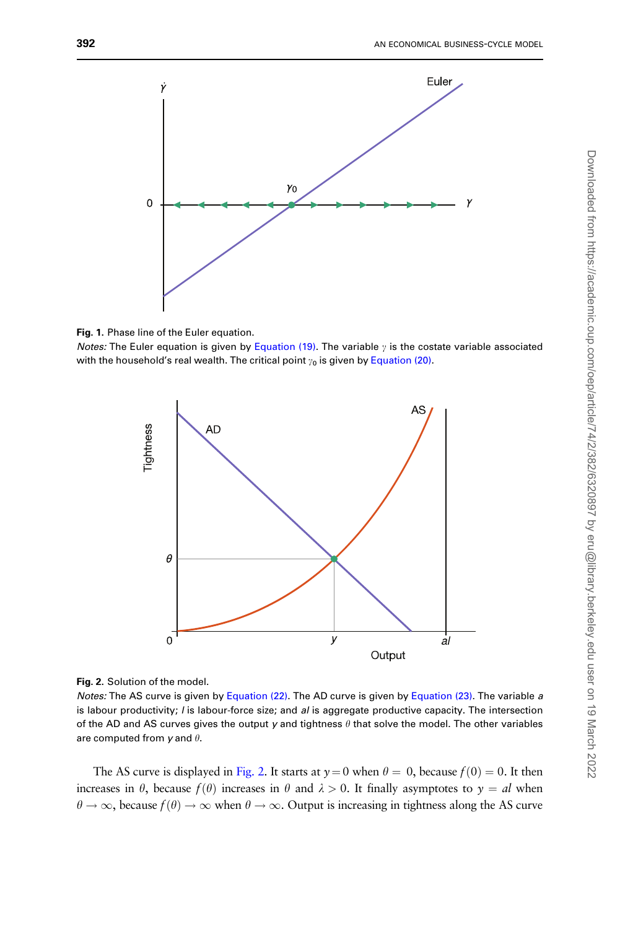<span id="page-10-0"></span>



*Notes:* The Euler equation is given by [Equation \(19\)](#page-9-0). The variable  $\gamma$  is the costate variable associated with the household's real wealth. The critical point  $\gamma_0$  is given by [Equation \(20\)](#page-9-0).





Notes: The AS curve is given by [Equation \(22\)](#page-9-0). The AD curve is given by [Equation \(23\)](#page-11-0). The variable a is labour productivity; *I* is labour-force size; and al is aggregate productive capacity. The intersection of the AD and AS curves gives the output y and tightness  $\theta$  that solve the model. The other variables are computed from  $y$  and  $\theta$ .

The AS curve is displayed in Fig. 2. It starts at  $y = 0$  when  $\theta = 0$ , because  $f(0) = 0$ . It then increases in  $\theta$ , because  $f(\theta)$  increases in  $\theta$  and  $\lambda > 0$ . It finally asymptotes to  $y = al$  when  $\theta \to \infty$ , because  $f(\theta) \to \infty$  when  $\theta \to \infty$ . Output is increasing in tightness along the AS curve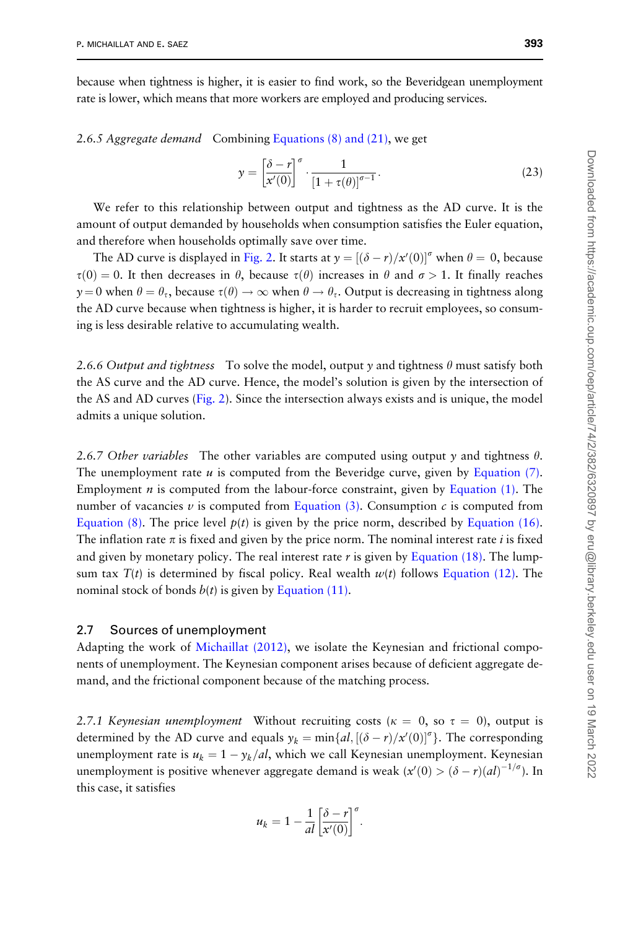<span id="page-11-0"></span>because when tightness is higher, it is easier to find work, so the Beveridgean unemployment rate is lower, which means that more workers are employed and producing services.

2.6.5 Aggregate demand Combining [Equations \(8\) and \(21\)](#page-6-0), we get

$$
y = \left[\frac{\delta - r}{x'(0)}\right]^{\sigma} \cdot \frac{1}{\left[1 + \tau(\theta)\right]^{\sigma - 1}}.
$$
\n(23)

We refer to this relationship between output and tightness as the AD curve. It is the amount of output demanded by households when consumption satisfies the Euler equation, and therefore when households optimally save over time.

The AD curve is displayed in [Fig. 2.](#page-10-0) It starts at  $y = [(\delta - r)/x'(0)]^{\sigma}$  when  $\theta = 0$ , because  $\tau(0) = 0$ . It then decreases in  $\theta$ , because  $\tau(\theta)$  increases in  $\theta$  and  $\sigma > 1$ . It finally reaches  $y = 0$  when  $\theta = \theta_{\tau}$ , because  $\tau(\theta) \to \infty$  when  $\theta \to \theta_{\tau}$ . Output is decreasing in tightness along the AD curve because when tightness is higher, it is harder to recruit employees, so consuming is less desirable relative to accumulating wealth.

2.6.6 Output and tightness To solve the model, output y and tightness  $\theta$  must satisfy both the AS curve and the AD curve. Hence, the model's solution is given by the intersection of the AS and AD curves [\(Fig. 2\)](#page-10-0). Since the intersection always exists and is unique, the model admits a unique solution.

2.6.7 Other variables The other variables are computed using output y and tightness  $\theta$ . The unemployment rate  $u$  is computed from the Beveridge curve, given by [Equation \(7\)](#page-5-0). Employment  $n$  is computed from the labour-force constraint, given by Equation  $(1)$ . The number of vacancies  $\nu$  is computed from [Equation \(3\).](#page-5-0) Consumption  $c$  is computed from [Equation \(8\)](#page-6-0). The price level  $p(t)$  is given by the price norm, described by [Equation \(16\)](#page-8-0). The inflation rate  $\pi$  is fixed and given by the price norm. The nominal interest rate i is fixed and given by monetary policy. The real interest rate  $r$  is given by [Equation \(18\).](#page-9-0) The lumpsum tax  $T(t)$  is determined by fiscal policy. Real wealth  $w(t)$  follows [Equation \(12\).](#page-7-0) The nominal stock of bonds  $b(t)$  is given by [Equation \(11\)](#page-7-0).

#### 2.7 Sources of unemployment

Adapting the work of [Michaillat \(2012\)](#page-28-0), we isolate the Keynesian and frictional components of unemployment. The Keynesian component arises because of deficient aggregate demand, and the frictional component because of the matching process.

2.7.1 Keynesian unemployment Without recruiting costs ( $\kappa = 0$ , so  $\tau = 0$ ), output is determined by the AD curve and equals  $y_k = \min\{al, \left[ (\delta - r) / x'(0) \right]^{\sigma} \}$ . The corresponding unemployment rate is  $u_k = 1 - y_k/al$ , which we call Keynesian unemployment. Keynesian unemployment is positive whenever aggregate demand is weak  $(x'(0) > (\delta - r)(al)^{-1/\sigma}$ ). In this case, it satisfies

$$
u_k = 1 - \frac{1}{al} \left[ \frac{\delta - r}{x'(0)} \right]^{\sigma}.
$$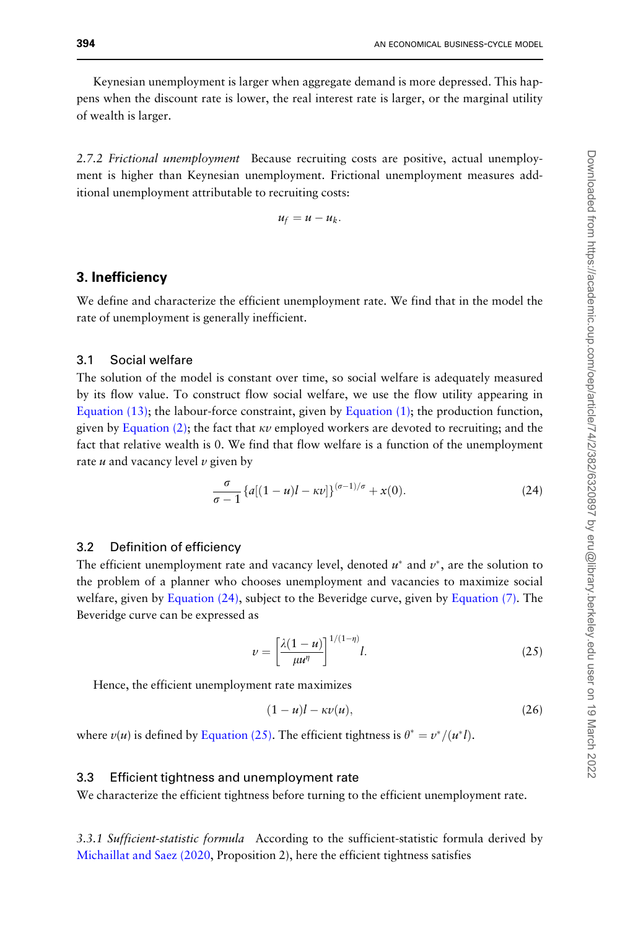<span id="page-12-0"></span>Keynesian unemployment is larger when aggregate demand is more depressed. This happens when the discount rate is lower, the real interest rate is larger, or the marginal utility of wealth is larger.

2.7.2 Frictional unemployment Because recruiting costs are positive, actual unemployment is higher than Keynesian unemployment. Frictional unemployment measures additional unemployment attributable to recruiting costs:

$$
u_f = u - u_k.
$$

## 3. Inefficiency

We define and characterize the efficient unemployment rate. We find that in the model the rate of unemployment is generally inefficient.

## 3.1 Social welfare

The solution of the model is constant over time, so social welfare is adequately measured by its flow value. To construct flow social welfare, we use the flow utility appearing in [Equation \(13\);](#page-7-0) the labour-force constraint, given by [Equation \(1\)](#page-4-0); the production function, given by [Equation \(2\);](#page-4-0) the fact that  $\kappa \nu$  employed workers are devoted to recruiting; and the fact that relative wealth is 0. We find that flow welfare is a function of the unemployment rate  $u$  and vacancy level  $v$  given by

$$
\frac{\sigma}{\sigma - 1} \left\{ a \left[ (1 - u)l - \kappa v \right] \right\}^{(\sigma - 1)/\sigma} + x(0). \tag{24}
$$

#### 3.2 Definition of efficiency

The efficient unemployment rate and vacancy level, denoted  $u^*$  and  $v^*$ , are the solution to the problem of a planner who chooses unemployment and vacancies to maximize social welfare, given by Equation (24), subject to the Beveridge curve, given by [Equation \(7\).](#page-5-0) The Beveridge curve can be expressed as

$$
\nu = \left[\frac{\lambda(1-u)}{\mu u^{\eta}}\right]^{1/(1-\eta)} l. \tag{25}
$$

Hence, the efficient unemployment rate maximizes

$$
(1-u)l - \kappa v(u), \tag{26}
$$

where  $v(u)$  is defined by Equation (25). The efficient tightness is  $\theta^* = v^*/(u^*l)$ .

#### 3.3 Efficient tightness and unemployment rate

We characterize the efficient tightness before turning to the efficient unemployment rate.

3.3.1 Sufficient-statistic formula According to the sufficient-statistic formula derived by [Michaillat and Saez \(2020](#page-28-0), Proposition 2), here the efficient tightness satisfies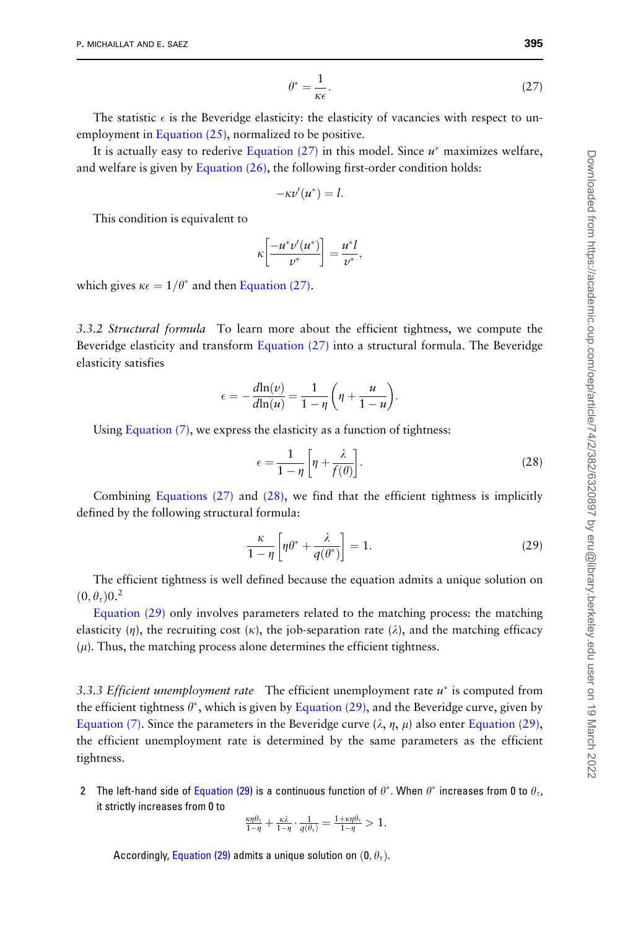$$
\theta^* = \frac{1}{\kappa \epsilon}.
$$
 (27)

<span id="page-13-0"></span>The statistic  $\epsilon$  is the Beveridge elasticity: the elasticity of vacancies with respect to un-employment in [Equation \(25\),](#page-12-0) normalized to be positive.

It is actually easy to rederive [Equation \(27\)](#page-12-0) in this model. Since  $u^*$  maximizes welfare, and welfare is given by Equation  $(26)$ , the following first-order condition holds:

$$
-\kappa \nu'(u^*)=l.
$$

This condition is equivalent to

$$
\kappa\left[\frac{-u^*v'(u^*)}{v^*}\right]=\frac{u^*l}{v^*},
$$

which gives  $\kappa \epsilon = 1/\theta^*$  and then [Equation \(27\).](#page-12-0)

3.3.2 Structural formula To learn more about the efficient tightness, we compute the Beveridge elasticity and transform [Equation \(27\)](#page-12-0) into a structural formula. The Beveridge elasticity satisfies

$$
\epsilon = -\frac{d\ln(v)}{d\ln(u)} = \frac{1}{1-\eta} \left( \eta + \frac{u}{1-u} \right).
$$

Using Equation  $(7)$ , we express the elasticity as a function of tightness:

$$
\epsilon = \frac{1}{1 - \eta} \left[ \eta + \frac{\lambda}{f(\theta)} \right].
$$
 (28)

Combining [Equations \(27\)](#page-12-0) and (28), we find that the efficient tightness is implicitly defined by the following structural formula:

$$
\frac{\kappa}{1-\eta} \left[ \eta \theta^* + \frac{\lambda}{q(\theta^*)} \right] = 1. \tag{29}
$$

The efficient tightness is well defined because the equation admits a unique solution on  $(0, \theta_\tau)$ 0.<sup>2</sup>

Equation (29) only involves parameters related to the matching process: the matching elasticity ( $\eta$ ), the recruiting cost ( $\kappa$ ), the job-separation rate ( $\lambda$ ), and the matching efficacy  $(\mu)$ . Thus, the matching process alone determines the efficient tightness.

3.3.3 Efficient unemployment rate The efficient unemployment rate  $u^*$  is computed from the efficient tightness  $\theta^*$ , which is given by Equation (29), and the Beveridge curve, given by [Equation \(7\).](#page-5-0) Since the parameters in the Beveridge curve ( $\lambda$ ,  $\eta$ ,  $\mu$ ) also enter Equation (29), the efficient unemployment rate is determined by the same parameters as the efficient tightness.

2 The left-hand side of Equation (29) is a continuous function of  $\theta^*$ . When  $\theta^*$  increases from 0 to  $\theta_\tau$ , it strictly increases from 0 to

$$
\tfrac{\kappa\eta\theta_\tau}{1-\eta}+\tfrac{\kappa\lambda}{1-\eta}\cdot\tfrac{1}{q(\theta_\tau)}=\tfrac{1+\kappa\eta\theta_\tau}{1-\eta}>1.
$$

Accordingly, Equation (29) admits a unique solution on  $(0, \theta_{\tau})$ .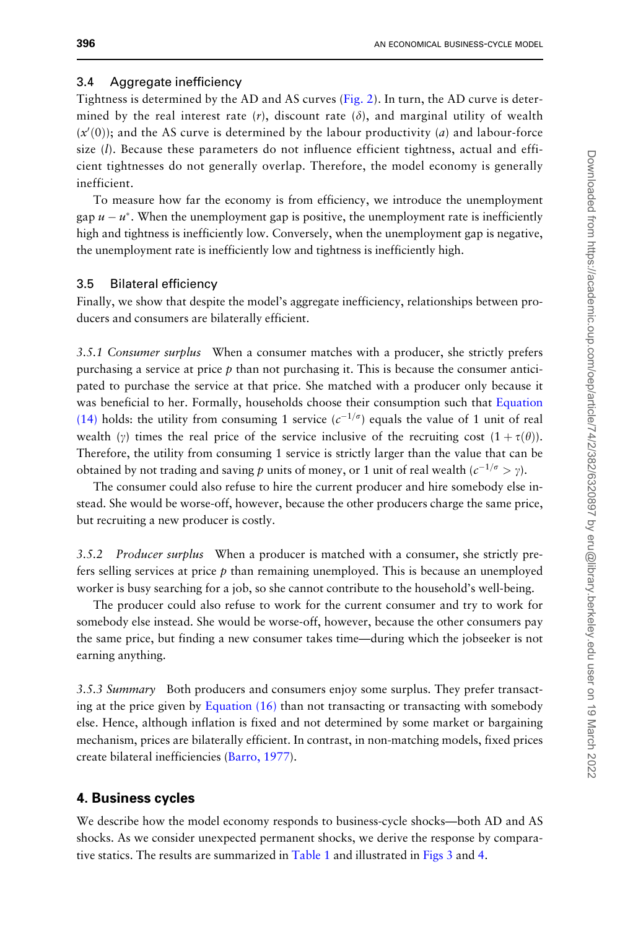#### 3.4 Aggregate inefficiency

Tightness is determined by the AD and AS curves [\(Fig. 2\)](#page-10-0). In turn, the AD curve is determined by the real interest rate  $(r)$ , discount rate  $(\delta)$ , and marginal utility of wealth  $(x'(0))$ ; and the AS curve is determined by the labour productivity (*a*) and labour-force size  $(l)$ . Because these parameters do not influence efficient tightness, actual and efficient tightnesses do not generally overlap. Therefore, the model economy is generally inefficient.

To measure how far the economy is from efficiency, we introduce the unemployment gap  $u - u^*$ . When the unemployment gap is positive, the unemployment rate is inefficiently high and tightness is inefficiently low. Conversely, when the unemployment gap is negative, the unemployment rate is inefficiently low and tightness is inefficiently high.

## 3.5 Bilateral efficiency

Finally, we show that despite the model's aggregate inefficiency, relationships between producers and consumers are bilaterally efficient.

3.5.1 Consumer surplus When a consumer matches with a producer, she strictly prefers purchasing a service at price  $p$  than not purchasing it. This is because the consumer anticipated to purchase the service at that price. She matched with a producer only because it was beneficial to her. Formally, households choose their consumption such that [Equation](#page-8-0) [\(14\)](#page-8-0) holds: the utility from consuming 1 service  $(c^{-1/\sigma})$  equals the value of 1 unit of real wealth (y) times the real price of the service inclusive of the recruiting cost  $(1 + \tau(\theta))$ . Therefore, the utility from consuming 1 service is strictly larger than the value that can be obtained by not trading and saving  $p$  units of money, or 1 unit of real wealth ( $c^{-1/\sigma} > \gamma$ ).

The consumer could also refuse to hire the current producer and hire somebody else instead. She would be worse-off, however, because the other producers charge the same price, but recruiting a new producer is costly.

3.5.2 Producer surplus When a producer is matched with a consumer, she strictly prefers selling services at price  $p$  than remaining unemployed. This is because an unemployed worker is busy searching for a job, so she cannot contribute to the household's well-being.

The producer could also refuse to work for the current consumer and try to work for somebody else instead. She would be worse-off, however, because the other consumers pay the same price, but finding a new consumer takes time—during which the jobseeker is not earning anything.

3.5.3 Summary Both producers and consumers enjoy some surplus. They prefer transacting at the price given by [Equation \(16\)](#page-8-0) than not transacting or transacting with somebody else. Hence, although inflation is fixed and not determined by some market or bargaining mechanism, prices are bilaterally efficient. In contrast, in non-matching models, fixed prices create bilateral inefficiencies ([Barro, 1977\)](#page-27-0).

## 4. Business cycles

We describe how the model economy responds to business-cycle shocks—both AD and AS shocks. As we consider unexpected permanent shocks, we derive the response by compara-tive statics. The results are summarized in [Table 1](#page-15-0) and illustrated in [Figs 3](#page-16-0) and [4.](#page-16-0)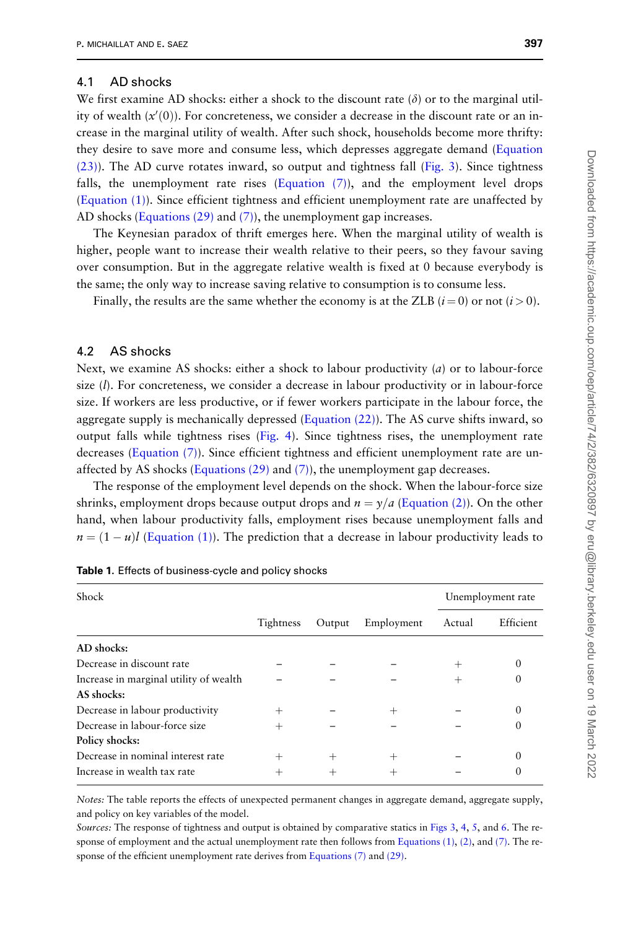#### <span id="page-15-0"></span>4.1 AD shocks

We first examine AD shocks: either a shock to the discount rate  $(\delta)$  or to the marginal utility of wealth  $(x'(0))$ . For concreteness, we consider a decrease in the discount rate or an increase in the marginal utility of wealth. After such shock, households become more thrifty: they desire to save more and consume less, which depresses aggregate demand [\(Equation](#page-11-0) [\(23\)\)](#page-11-0). The AD curve rotates inward, so output and tightness fall [\(Fig. 3\)](#page-16-0). Since tightness falls, the unemployment rate rises [\(Equation \(7\)\)](#page-5-0), and the employment level drops [\(Equation \(1\)](#page-4-0)). Since efficient tightness and efficient unemployment rate are unaffected by AD shocks ([Equations \(29\)](#page-13-0) and [\(7\)](#page-5-0)), the unemployment gap increases.

The Keynesian paradox of thrift emerges here. When the marginal utility of wealth is higher, people want to increase their wealth relative to their peers, so they favour saving over consumption. But in the aggregate relative wealth is fixed at 0 because everybody is the same; the only way to increase saving relative to consumption is to consume less.

Finally, the results are the same whether the economy is at the ZLB  $(i = 0)$  or not  $(i > 0)$ .

## 4.2 AS shocks

Next, we examine AS shocks: either a shock to labour productivity  $(a)$  or to labour-force size  $(l)$ . For concreteness, we consider a decrease in labour productivity or in labour-force size. If workers are less productive, or if fewer workers participate in the labour force, the aggregate supply is mechanically depressed (Equation  $(22)$ ). The AS curve shifts inward, so output falls while tightness rises ([Fig. 4](#page-16-0)). Since tightness rises, the unemployment rate decreases [\(Equation \(7\)\)](#page-5-0). Since efficient tightness and efficient unemployment rate are unaffected by AS shocks (Equations  $(29)$  and  $(7)$ ), the unemployment gap decreases.

The response of the employment level depends on the shock. When the labour-force size shrinks, employment drops because output drops and  $n = y/a$  ([Equation \(2\)\)](#page-4-0). On the other hand, when labour productivity falls, employment rises because unemployment falls and  $n = (1 - u)l$  [\(Equation \(1\)\)](#page-4-0). The prediction that a decrease in labour productivity leads to

| Shock                                  |           |        |            | Unemployment rate |           |
|----------------------------------------|-----------|--------|------------|-------------------|-----------|
|                                        | Tightness | Output | Employment | Actual            | Efficient |
| AD shocks:                             |           |        |            |                   |           |
| Decrease in discount rate              |           |        |            | $^+$              |           |
| Increase in marginal utility of wealth |           |        |            |                   |           |
| AS shocks:                             |           |        |            |                   |           |
| Decrease in labour productivity        | $^+$      |        | $^+$       |                   |           |
| Decrease in labour-force size          |           |        |            |                   |           |
| Policy shocks:                         |           |        |            |                   |           |
| Decrease in nominal interest rate      | $^+$      | $^+$   | $^+$       |                   |           |
| Increase in wealth tax rate            |           |        |            |                   |           |

|  |  | Table 1. Effects of business-cycle and policy shocks |  |  |
|--|--|------------------------------------------------------|--|--|
|--|--|------------------------------------------------------|--|--|

Notes: The table reports the effects of unexpected permanent changes in aggregate demand, aggregate supply, and policy on key variables of the model.

Sources: The response of tightness and output is obtained by comparative statics in [Figs 3](#page-16-0), [4](#page-16-0), [5,](#page-18-0) and [6.](#page-19-0) The response of employment and the actual unemployment rate then follows from Equations  $(1)$ ,  $(2)$ , and  $(7)$ . The re-sponse of the efficient unemployment rate derives from [Equations \(7\)](#page-5-0) and [\(29\).](#page-13-0)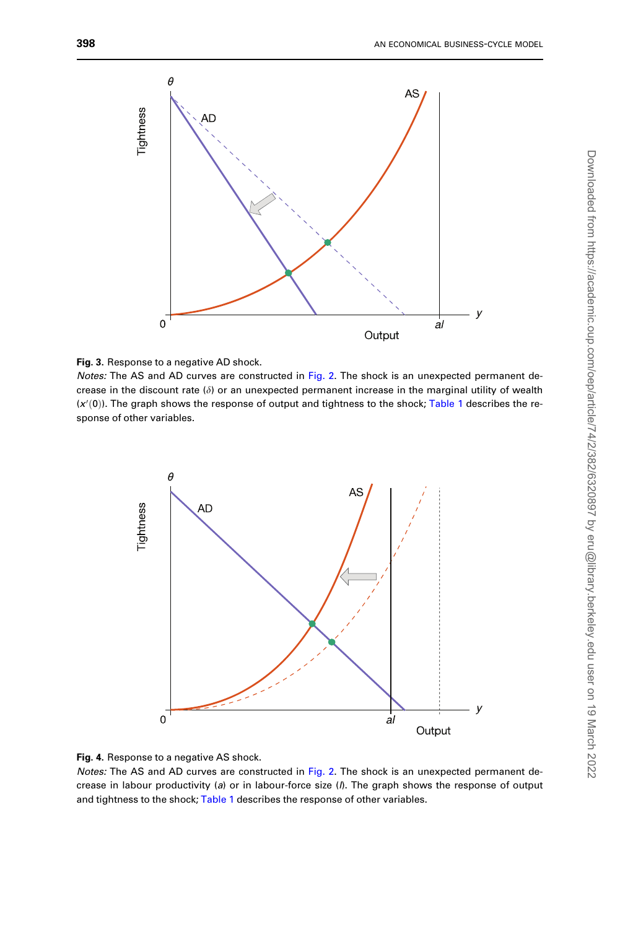<span id="page-16-0"></span>



Notes: The AS and AD curves are constructed in [Fig. 2.](#page-10-0) The shock is an unexpected permanent decrease in the discount rate ( $\delta$ ) or an unexpected permanent increase in the marginal utility of wealth  $(x'(0))$ . The graph shows the response of output and tightness to the shock; [Table 1](#page-15-0) describes the response of other variables.





Notes: The AS and AD curves are constructed in [Fig. 2.](#page-10-0) The shock is an unexpected permanent decrease in labour productivity (a) or in labour-force size ( $\beta$ . The graph shows the response of output and tightness to the shock; [Table 1](#page-15-0) describes the response of other variables.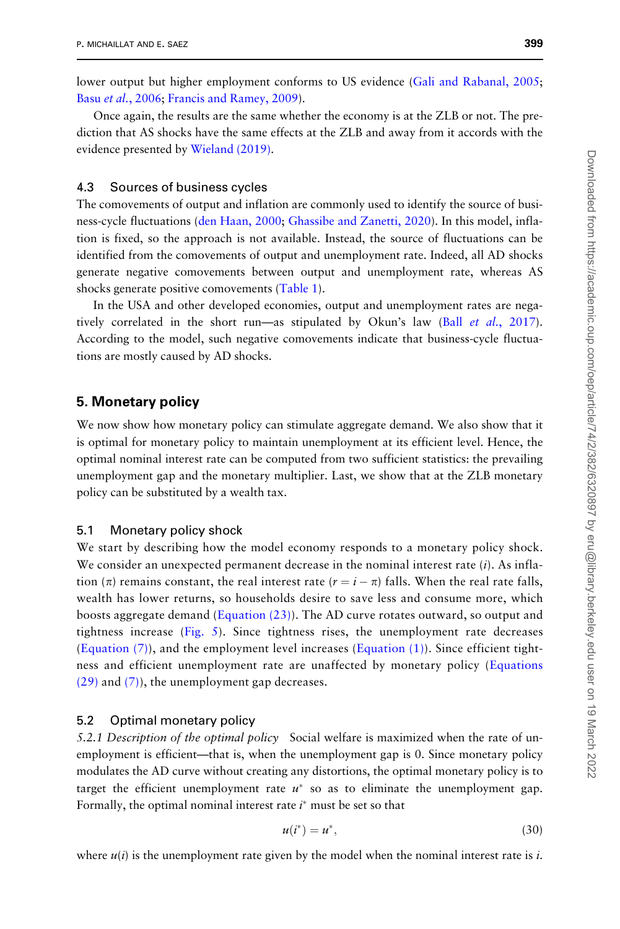<span id="page-17-0"></span>lower output but higher employment conforms to US evidence ([Gali and Rabanal, 2005](#page-27-0); Basu et al.[, 2006](#page-27-0); [Francis and Ramey, 2009\)](#page-27-0).

Once again, the results are the same whether the economy is at the ZLB or not. The prediction that AS shocks have the same effects at the ZLB and away from it accords with the evidence presented by [Wieland \(2019\)](#page-29-0).

#### 4.3 Sources of business cycles

The comovements of output and inflation are commonly used to identify the source of business-cycle fluctuations ([den Haan, 2000;](#page-27-0) [Ghassibe and Zanetti, 2020\)](#page-27-0). In this model, inflation is fixed, so the approach is not available. Instead, the source of fluctuations can be identified from the comovements of output and unemployment rate. Indeed, all AD shocks generate negative comovements between output and unemployment rate, whereas AS shocks generate positive comovements [\(Table 1](#page-15-0)).

In the USA and other developed economies, output and unemployment rates are negatively correlated in the short run—as stipulated by Okun's law (Ball et al.[, 2017](#page-26-0)). According to the model, such negative comovements indicate that business-cycle fluctuations are mostly caused by AD shocks.

## 5. Monetary policy

We now show how monetary policy can stimulate aggregate demand. We also show that it is optimal for monetary policy to maintain unemployment at its efficient level. Hence, the optimal nominal interest rate can be computed from two sufficient statistics: the prevailing unemployment gap and the monetary multiplier. Last, we show that at the ZLB monetary policy can be substituted by a wealth tax.

#### 5.1 Monetary policy shock

We start by describing how the model economy responds to a monetary policy shock. We consider an unexpected permanent decrease in the nominal interest rate  $(i)$ . As inflation ( $\pi$ ) remains constant, the real interest rate ( $r = i - \pi$ ) falls. When the real rate falls, wealth has lower returns, so households desire to save less and consume more, which boosts aggregate demand [\(Equation \(23\)\)](#page-11-0). The AD curve rotates outward, so output and tightness increase ([Fig. 5\)](#page-18-0). Since tightness rises, the unemployment rate decreases (Equation  $(7)$ ), and the employment level increases (Equation  $(1)$ ). Since efficient tightness and efficient unemployment rate are unaffected by monetary policy ([Equations](#page-13-0) [\(29\)](#page-13-0) and [\(7\)\)](#page-5-0), the unemployment gap decreases.

#### 5.2 Optimal monetary policy

5.2.1 Description of the optimal policy Social welfare is maximized when the rate of unemployment is efficient—that is, when the unemployment gap is 0. Since monetary policy modulates the AD curve without creating any distortions, the optimal monetary policy is to target the efficient unemployment rate  $u^*$  so as to eliminate the unemployment gap. Formally, the optimal nominal interest rate  $i^*$  must be set so that

$$
u(i^*) = u^*,\tag{30}
$$

where  $u(i)$  is the unemployment rate given by the model when the nominal interest rate is i.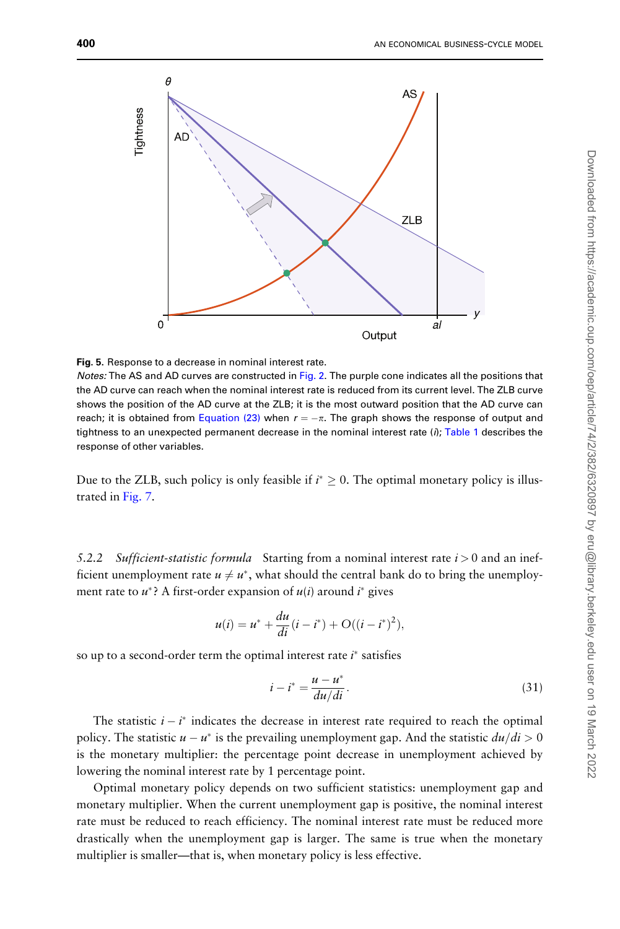<span id="page-18-0"></span>

Fig. 5. Response to a decrease in nominal interest rate.

Notes: The AS and AD curves are constructed in [Fig. 2](#page-10-0). The purple cone indicates all the positions that the AD curve can reach when the nominal interest rate is reduced from its current level. The ZLB curve shows the position of the AD curve at the ZLB; it is the most outward position that the AD curve can reach; it is obtained from [Equation \(23\)](#page-11-0) when  $r = -\pi$ . The graph shows the response of output and tightness to an unexpected permanent decrease in the nominal interest rate  $(i)$ ; [Table 1](#page-15-0) describes the response of other variables.

Due to the ZLB, such policy is only feasible if  $i^* \geq 0$ . The optimal monetary policy is illustrated in [Fig. 7](#page-20-0).

5.2.2 Sufficient-statistic formula Starting from a nominal interest rate  $i > 0$  and an inefficient unemployment rate  $u \neq u^*$ , what should the central bank do to bring the unemployment rate to  $u^*$ ? A first-order expansion of  $u(i)$  around  $i^*$  gives

$$
u(i) = u^* + \frac{du}{di}(i - i^*) + O((i - i^*)^2),
$$

so up to a second-order term the optimal interest rate  $i^*$  satisfies

$$
i - i^* = \frac{u - u^*}{du/di}.
$$
\n(31)

The statistic  $i - i^*$  indicates the decrease in interest rate required to reach the optimal policy. The statistic  $u - u^*$  is the prevailing unemployment gap. And the statistic  $du/di > 0$ is the monetary multiplier: the percentage point decrease in unemployment achieved by lowering the nominal interest rate by 1 percentage point.

Optimal monetary policy depends on two sufficient statistics: unemployment gap and monetary multiplier. When the current unemployment gap is positive, the nominal interest rate must be reduced to reach efficiency. The nominal interest rate must be reduced more drastically when the unemployment gap is larger. The same is true when the monetary multiplier is smaller—that is, when monetary policy is less effective.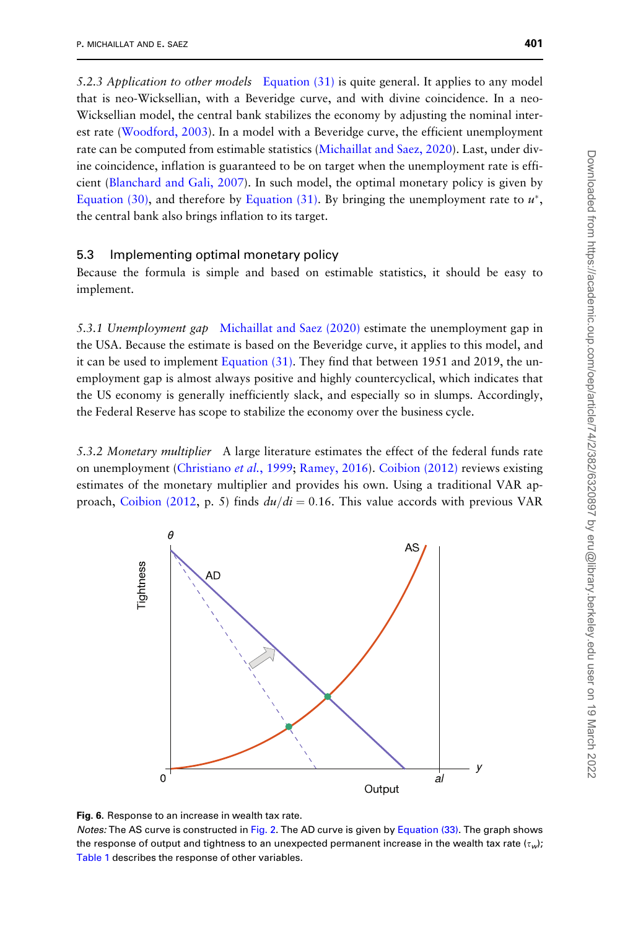<span id="page-19-0"></span>5.2.3 Application to other models [Equation \(31\)](#page-18-0) is quite general. It applies to any model that is neo-Wicksellian, with a Beveridge curve, and with divine coincidence. In a neo-Wicksellian model, the central bank stabilizes the economy by adjusting the nominal interest rate ([Woodford, 2003](#page-29-0)). In a model with a Beveridge curve, the efficient unemployment rate can be computed from estimable statistics ([Michaillat and Saez, 2020\)](#page-28-0). Last, under divine coincidence, inflation is guaranteed to be on target when the unemployment rate is efficient ([Blanchard and Gali, 2007](#page-27-0)). In such model, the optimal monetary policy is given by [Equation \(30\)](#page-17-0), and therefore by [Equation \(31\).](#page-18-0) By bringing the unemployment rate to  $u^*$ , the central bank also brings inflation to its target.

## 5.3 Implementing optimal monetary policy

Because the formula is simple and based on estimable statistics, it should be easy to implement.

5.3.1 Unemployment gap [Michaillat and Saez \(2020\)](#page-28-0) estimate the unemployment gap in the USA. Because the estimate is based on the Beveridge curve, it applies to this model, and it can be used to implement [Equation \(31\).](#page-18-0) They find that between 1951 and 2019, the unemployment gap is almost always positive and highly countercyclical, which indicates that the US economy is generally inefficiently slack, and especially so in slumps. Accordingly, the Federal Reserve has scope to stabilize the economy over the business cycle.

5.3.2 Monetary multiplier A large literature estimates the effect of the federal funds rate on unemployment [\(Christiano](#page-27-0) et al., 1999; [Ramey, 2016\)](#page-29-0). [Coibion \(2012\)](#page-27-0) reviews existing estimates of the monetary multiplier and provides his own. Using a traditional VAR ap-proach, [Coibion \(2012](#page-27-0), p. 5) finds  $du/di = 0.16$ . This value accords with previous VAR





Notes: The AS curve is constructed in [Fig. 2.](#page-10-0) The AD curve is given by [Equation \(33\)](#page-22-0). The graph shows the response of output and tightness to an unexpected permanent increase in the wealth tax rate ( $\tau_w$ ); [Table 1](#page-15-0) describes the response of other variables.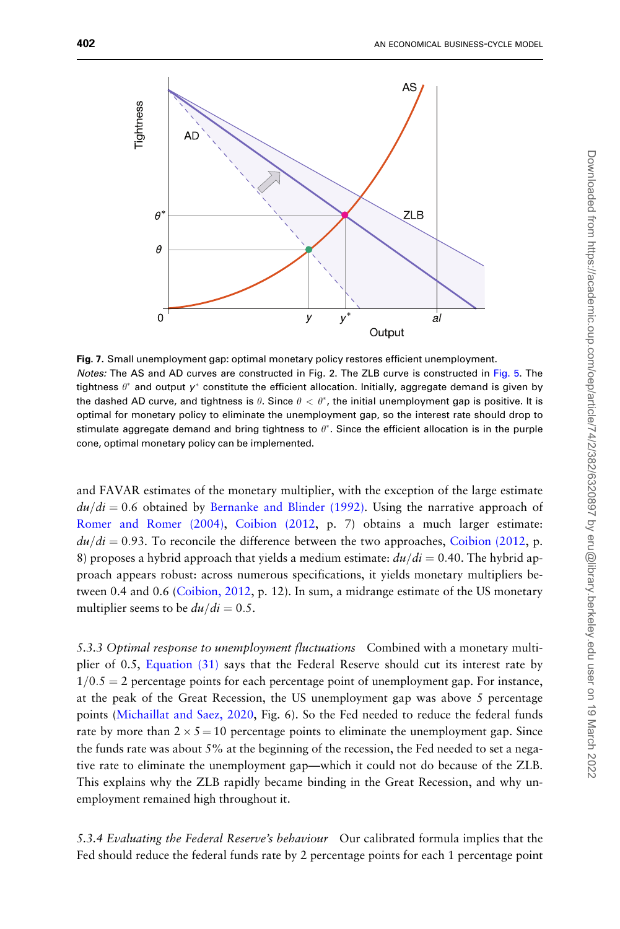<span id="page-20-0"></span>

Fig. 7. Small unemployment gap: optimal monetary policy restores efficient unemployment. Notes: The AS and AD curves are constructed in Fig. 2. The ZLB curve is constructed in [Fig. 5.](#page-18-0) The tightness  $\theta^*$  and output  $y^*$  constitute the efficient allocation. Initially, aggregate demand is given by the dashed AD curve, and tightness is  $\theta.$  Since  $\theta < \theta^*$ , the initial unemployment gap is positive. It is optimal for monetary policy to eliminate the unemployment gap, so the interest rate should drop to stimulate aggregate demand and bring tightness to  $\theta^*$ . Since the efficient allocation is in the purple cone, optimal monetary policy can be implemented.

and FAVAR estimates of the monetary multiplier, with the exception of the large estimate  $du/di = 0.6$  obtained by [Bernanke and Blinder \(1992\)](#page-27-0). Using the narrative approach of [Romer and Romer \(2004\),](#page-29-0) [Coibion \(2012](#page-27-0), p. 7) obtains a much larger estimate:  $du/di = 0.93$ . To reconcile the difference between the two approaches, [Coibion \(2012](#page-27-0), p. 8) proposes a hybrid approach that yields a medium estimate:  $du/di = 0.40$ . The hybrid approach appears robust: across numerous specifications, it yields monetary multipliers between 0.4 and 0.6 [\(Coibion, 2012](#page-27-0), p. 12). In sum, a midrange estimate of the US monetary multiplier seems to be  $du/di = 0.5$ .

5.3.3 Optimal response to unemployment fluctuations Combined with a monetary multiplier of 0.5, [Equation \(31\)](#page-18-0) says that the Federal Reserve should cut its interest rate by  $1/0.5 = 2$  percentage points for each percentage point of unemployment gap. For instance, at the peak of the Great Recession, the US unemployment gap was above 5 percentage points [\(Michaillat and Saez, 2020](#page-28-0), Fig. 6). So the Fed needed to reduce the federal funds rate by more than  $2 \times 5 = 10$  percentage points to eliminate the unemployment gap. Since the funds rate was about 5% at the beginning of the recession, the Fed needed to set a negative rate to eliminate the unemployment gap—which it could not do because of the ZLB. This explains why the ZLB rapidly became binding in the Great Recession, and why unemployment remained high throughout it.

5.3.4 Evaluating the Federal Reserve's behaviour Our calibrated formula implies that the Fed should reduce the federal funds rate by 2 percentage points for each 1 percentage point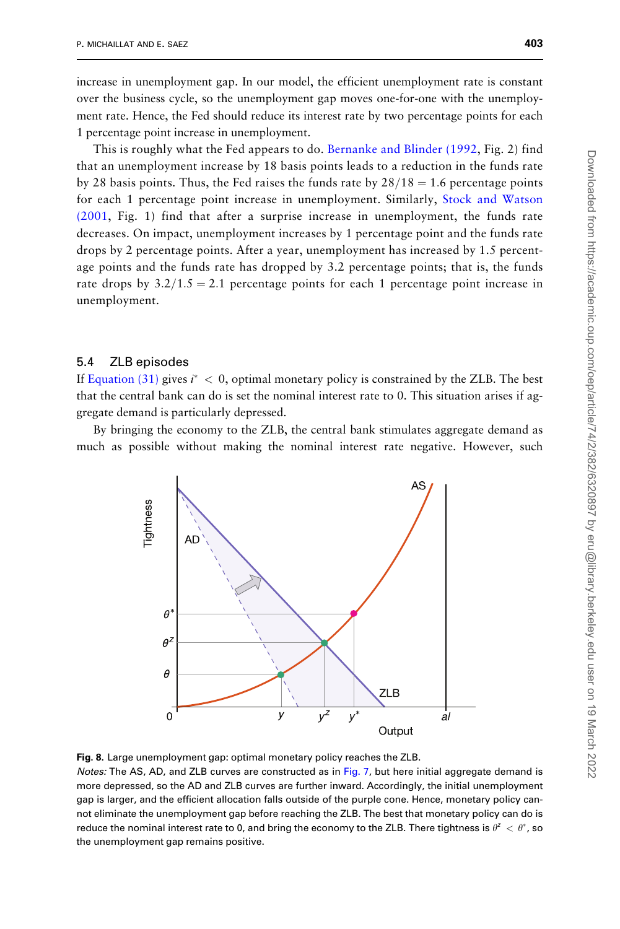<span id="page-21-0"></span>increase in unemployment gap. In our model, the efficient unemployment rate is constant over the business cycle, so the unemployment gap moves one-for-one with the unemployment rate. Hence, the Fed should reduce its interest rate by two percentage points for each 1 percentage point increase in unemployment.

This is roughly what the Fed appears to do. [Bernanke and Blinder \(1992,](#page-27-0) Fig. 2) find that an unemployment increase by 18 basis points leads to a reduction in the funds rate by 28 basis points. Thus, the Fed raises the funds rate by  $28/18=1.6$  percentage points for each 1 percentage point increase in unemployment. Similarly, [Stock and Watson](#page-29-0) [\(2001](#page-29-0), Fig. 1) find that after a surprise increase in unemployment, the funds rate decreases. On impact, unemployment increases by 1 percentage point and the funds rate drops by 2 percentage points. After a year, unemployment has increased by 1.5 percentage points and the funds rate has dropped by 3.2 percentage points; that is, the funds rate drops by  $3.2/1.5 = 2.1$  percentage points for each 1 percentage point increase in unemployment.

#### 5.4 ZLB episodes

If [Equation \(31\)](#page-18-0) gives  $i^* < 0$ , optimal monetary policy is constrained by the ZLB. The best that the central bank can do is set the nominal interest rate to 0. This situation arises if aggregate demand is particularly depressed.

By bringing the economy to the ZLB, the central bank stimulates aggregate demand as much as possible without making the nominal interest rate negative. However, such



Fig. 8. Large unemployment gap: optimal monetary policy reaches the ZLB. Notes: The AS, AD, and ZLB curves are constructed as in [Fig. 7](#page-20-0), but here initial aggregate demand is

more depressed, so the AD and ZLB curves are further inward. Accordingly, the initial unemployment gap is larger, and the efficient allocation falls outside of the purple cone. Hence, monetary policy cannot eliminate the unemployment gap before reaching the ZLB. The best that monetary policy can do is reduce the nominal interest rate to 0, and bring the economy to the ZLB. There tightness is  $\theta^2 < \theta^*$ , so the unemployment gap remains positive.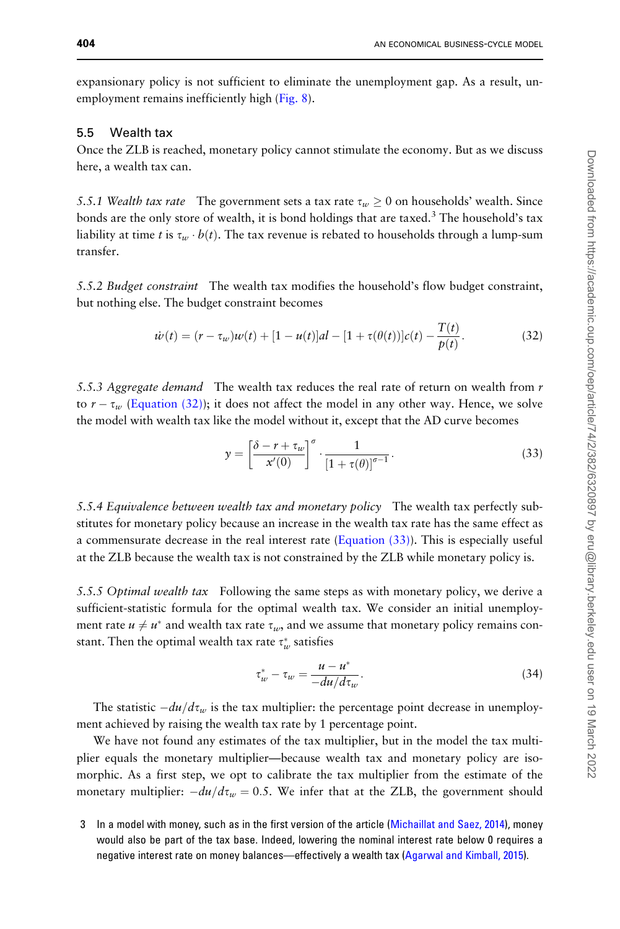<span id="page-22-0"></span>expansionary policy is not sufficient to eliminate the unemployment gap. As a result, un-employment remains inefficiently high [\(Fig. 8\)](#page-21-0).

## 5.5 Wealth tax

Once the ZLB is reached, monetary policy cannot stimulate the economy. But as we discuss here, a wealth tax can.

5.5.1 Wealth tax rate The government sets a tax rate  $\tau_w \ge 0$  on households' wealth. Since bonds are the only store of wealth, it is bond holdings that are taxed.<sup>3</sup> The household's tax liability at time t is  $\tau_w \cdot b(t)$ . The tax revenue is rebated to households through a lump-sum transfer.

5.5.2 Budget constraint The wealth tax modifies the household's flow budget constraint, but nothing else. The budget constraint becomes

$$
\dot{w}(t) = (r - \tau_w)w(t) + [1 - u(t)]aI - [1 + \tau(\theta(t))]c(t) - \frac{T(t)}{p(t)}.
$$
\n(32)

5.5.3 Aggregate demand The wealth tax reduces the real rate of return on wealth from r to  $r - \tau_w$  (Equation (32)); it does not affect the model in any other way. Hence, we solve the model with wealth tax like the model without it, except that the AD curve becomes

$$
y = \left[\frac{\delta - r + \tau_w}{x'(0)}\right]^\sigma \cdot \frac{1}{\left[1 + \tau(\theta)\right]^{\sigma - 1}}.\tag{33}
$$

5.5.4 Equivalence between wealth tax and monetary policy The wealth tax perfectly substitutes for monetary policy because an increase in the wealth tax rate has the same effect as a commensurate decrease in the real interest rate (Equation (33)). This is especially useful at the ZLB because the wealth tax is not constrained by the ZLB while monetary policy is.

5.5.5 Optimal wealth tax Following the same steps as with monetary policy, we derive a sufficient-statistic formula for the optimal wealth tax. We consider an initial unemployment rate  $u \neq u^*$  and wealth tax rate  $\tau_w$ , and we assume that monetary policy remains constant. Then the optimal wealth tax rate  $\tau_w^*$  satisfies

$$
\tau_w^* - \tau_w = \frac{u - u^*}{-du/d\tau_w}.\tag{34}
$$

The statistic  $-\frac{du}{d\tau_w}$  is the tax multiplier: the percentage point decrease in unemployment achieved by raising the wealth tax rate by 1 percentage point.

We have not found any estimates of the tax multiplier, but in the model the tax multiplier equals the monetary multiplier—because wealth tax and monetary policy are isomorphic. As a first step, we opt to calibrate the tax multiplier from the estimate of the monetary multiplier:  $-du/d\tau_w = 0.5$ . We infer that at the ZLB, the government should

3 In a model with money, such as in the first version of the article ([Michaillat and Saez, 2014](#page-28-0)), money would also be part of the tax base. Indeed, lowering the nominal interest rate below 0 requires a negative interest rate on money balances—effectively a wealth tax [\(Agarwal and Kimball, 2015\)](#page-26-0).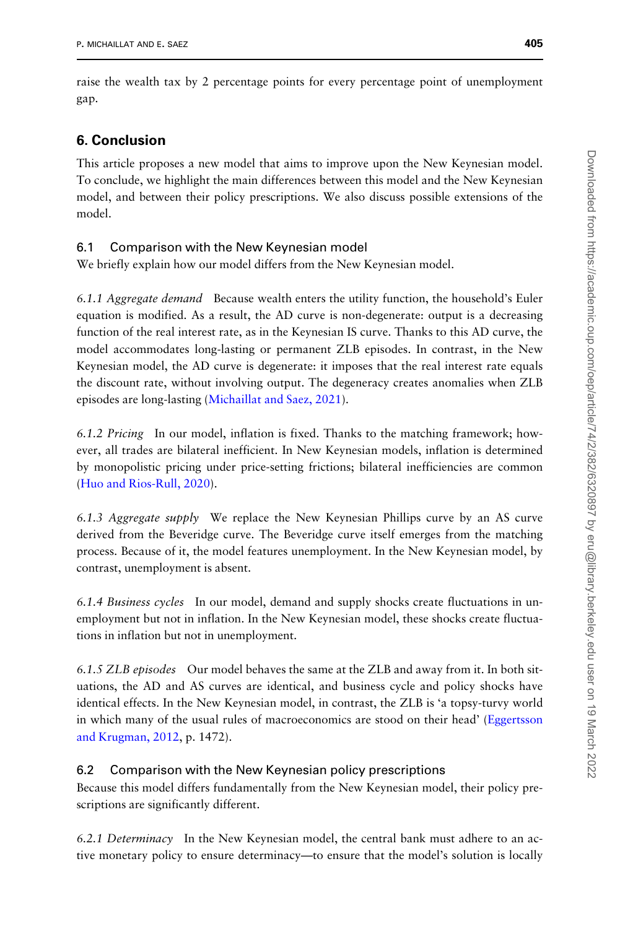raise the wealth tax by 2 percentage points for every percentage point of unemployment gap.

# 6. Conclusion

This article proposes a new model that aims to improve upon the New Keynesian model. To conclude, we highlight the main differences between this model and the New Keynesian model, and between their policy prescriptions. We also discuss possible extensions of the model.

## 6.1 Comparison with the New Keynesian model

We briefly explain how our model differs from the New Keynesian model.

6.1.1 Aggregate demand Because wealth enters the utility function, the household's Euler equation is modified. As a result, the AD curve is non-degenerate: output is a decreasing function of the real interest rate, as in the Keynesian IS curve. Thanks to this AD curve, the model accommodates long-lasting or permanent ZLB episodes. In contrast, in the New Keynesian model, the AD curve is degenerate: it imposes that the real interest rate equals the discount rate, without involving output. The degeneracy creates anomalies when ZLB episodes are long-lasting ([Michaillat and Saez, 2021\)](#page-28-0).

6.1.2 Pricing In our model, inflation is fixed. Thanks to the matching framework; however, all trades are bilateral inefficient. In New Keynesian models, inflation is determined by monopolistic pricing under price-setting frictions; bilateral inefficiencies are common [\(Huo and Rios-Rull, 2020\)](#page-28-0).

6.1.3 Aggregate supply We replace the New Keynesian Phillips curve by an AS curve derived from the Beveridge curve. The Beveridge curve itself emerges from the matching process. Because of it, the model features unemployment. In the New Keynesian model, by contrast, unemployment is absent.

6.1.4 Business cycles In our model, demand and supply shocks create fluctuations in unemployment but not in inflation. In the New Keynesian model, these shocks create fluctuations in inflation but not in unemployment.

6.1.5 ZLB episodes Our model behaves the same at the ZLB and away from it. In both situations, the AD and AS curves are identical, and business cycle and policy shocks have identical effects. In the New Keynesian model, in contrast, the ZLB is 'a topsy-turvy world in which many of the usual rules of macroeconomics are stood on their head' [\(Eggertsson](#page-27-0) [and Krugman, 2012](#page-27-0), p. 1472).

## 6.2 Comparison with the New Keynesian policy prescriptions

Because this model differs fundamentally from the New Keynesian model, their policy prescriptions are significantly different.

6.2.1 Determinacy In the New Keynesian model, the central bank must adhere to an active monetary policy to ensure determinacy—to ensure that the model's solution is locally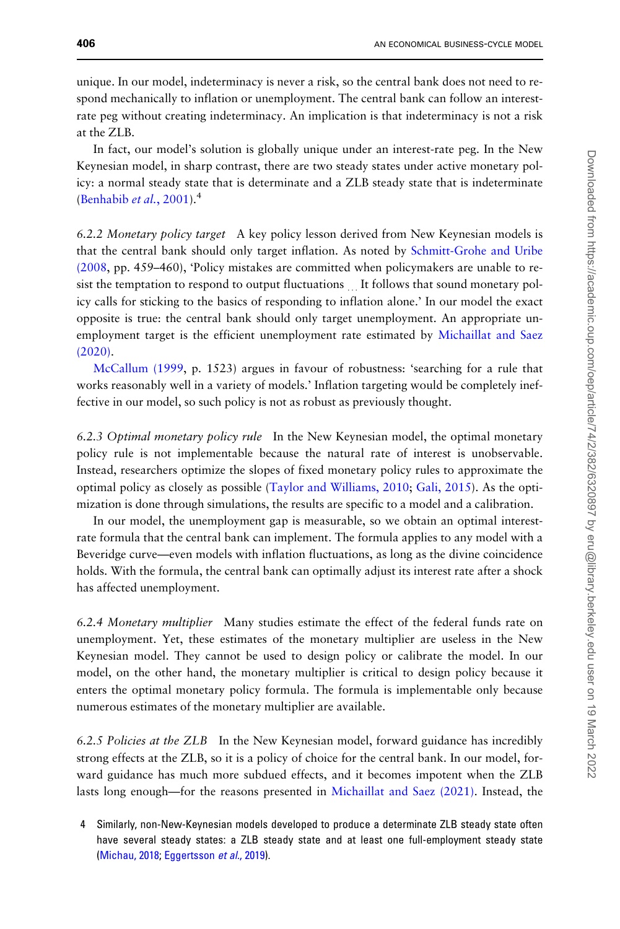unique. In our model, indeterminacy is never a risk, so the central bank does not need to respond mechanically to inflation or unemployment. The central bank can follow an interestrate peg without creating indeterminacy. An implication is that indeterminacy is not a risk at the ZLB.

In fact, our model's solution is globally unique under an interest-rate peg. In the New Keynesian model, in sharp contrast, there are two steady states under active monetary policy: a normal steady state that is determinate and a ZLB steady state that is indeterminate [\(Benhabib](#page-27-0) et al., 2001).<sup>4</sup>

6.2.2 Monetary policy target A key policy lesson derived from New Keynesian models is that the central bank should only target inflation. As noted by [Schmitt-Grohe and Uribe](#page-29-0) [\(2008](#page-29-0), pp. 459–460), 'Policy mistakes are committed when policymakers are unable to resist the temptation to respond to output fluctuations ... It follows that sound monetary policy calls for sticking to the basics of responding to inflation alone.' In our model the exact opposite is true: the central bank should only target unemployment. An appropriate unemployment target is the efficient unemployment rate estimated by [Michaillat and Saez](#page-28-0) [\(2020\)](#page-28-0).

[McCallum \(1999,](#page-28-0) p. 1523) argues in favour of robustness: 'searching for a rule that works reasonably well in a variety of models.' Inflation targeting would be completely ineffective in our model, so such policy is not as robust as previously thought.

6.2.3 Optimal monetary policy rule In the New Keynesian model, the optimal monetary policy rule is not implementable because the natural rate of interest is unobservable. Instead, researchers optimize the slopes of fixed monetary policy rules to approximate the optimal policy as closely as possible [\(Taylor and Williams, 2010](#page-29-0); [Gali, 2015](#page-27-0)). As the optimization is done through simulations, the results are specific to a model and a calibration.

In our model, the unemployment gap is measurable, so we obtain an optimal interestrate formula that the central bank can implement. The formula applies to any model with a Beveridge curve—even models with inflation fluctuations, as long as the divine coincidence holds. With the formula, the central bank can optimally adjust its interest rate after a shock has affected unemployment.

6.2.4 Monetary multiplier Many studies estimate the effect of the federal funds rate on unemployment. Yet, these estimates of the monetary multiplier are useless in the New Keynesian model. They cannot be used to design policy or calibrate the model. In our model, on the other hand, the monetary multiplier is critical to design policy because it enters the optimal monetary policy formula. The formula is implementable only because numerous estimates of the monetary multiplier are available.

6.2.5 Policies at the ZLB In the New Keynesian model, forward guidance has incredibly strong effects at the ZLB, so it is a policy of choice for the central bank. In our model, forward guidance has much more subdued effects, and it becomes impotent when the ZLB lasts long enough—for the reasons presented in [Michaillat and Saez \(2021\).](#page-28-0) Instead, the

4 Similarly, non-New-Keynesian models developed to produce a determinate ZLB steady state often have several steady states: a ZLB steady state and at least one full-employment steady state [\(Michau, 2018;](#page-28-0) [Eggertsson](#page-27-0) et al., 2019).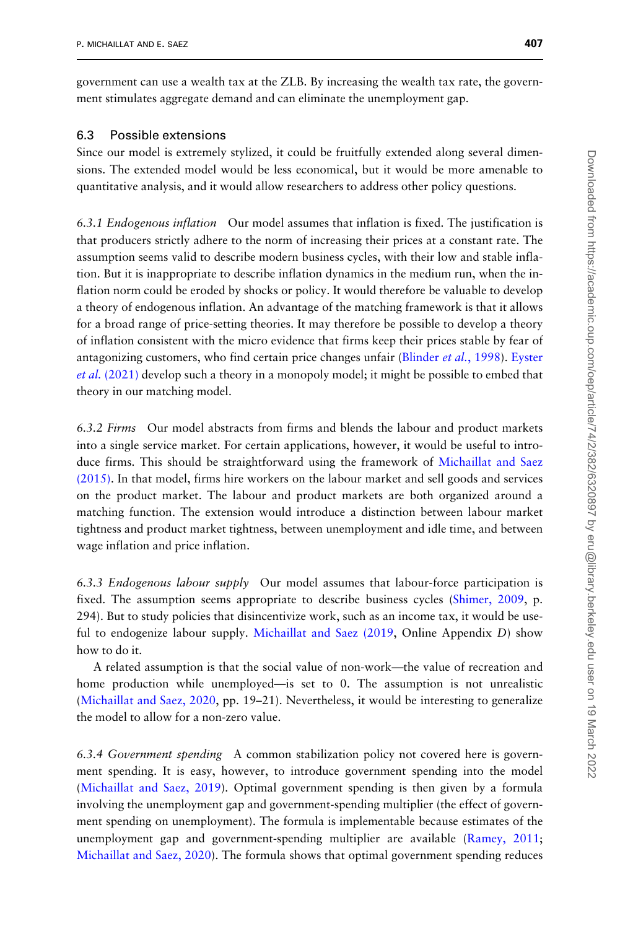government can use a wealth tax at the ZLB. By increasing the wealth tax rate, the government stimulates aggregate demand and can eliminate the unemployment gap.

#### 6.3 Possible extensions

Since our model is extremely stylized, it could be fruitfully extended along several dimensions. The extended model would be less economical, but it would be more amenable to quantitative analysis, and it would allow researchers to address other policy questions.

6.3.1 Endogenous inflation Our model assumes that inflation is fixed. The justification is that producers strictly adhere to the norm of increasing their prices at a constant rate. The assumption seems valid to describe modern business cycles, with their low and stable inflation. But it is inappropriate to describe inflation dynamics in the medium run, when the inflation norm could be eroded by shocks or policy. It would therefore be valuable to develop a theory of endogenous inflation. An advantage of the matching framework is that it allows for a broad range of price-setting theories. It may therefore be possible to develop a theory of inflation consistent with the micro evidence that firms keep their prices stable by fear of antagonizing customers, who find certain price changes unfair [\(Blinder](#page-27-0) *et al.*, 1998). [Eyster](#page-27-0) et al. [\(2021\)](#page-27-0) develop such a theory in a monopoly model; it might be possible to embed that theory in our matching model.

6.3.2 Firms Our model abstracts from firms and blends the labour and product markets into a single service market. For certain applications, however, it would be useful to introduce firms. This should be straightforward using the framework of [Michaillat and Saez](#page-28-0) [\(2015\)](#page-28-0). In that model, firms hire workers on the labour market and sell goods and services on the product market. The labour and product markets are both organized around a matching function. The extension would introduce a distinction between labour market tightness and product market tightness, between unemployment and idle time, and between wage inflation and price inflation.

6.3.3 Endogenous labour supply Our model assumes that labour-force participation is fixed. The assumption seems appropriate to describe business cycles [\(Shimer, 2009](#page-29-0), p. 294). But to study policies that disincentivize work, such as an income tax, it would be useful to endogenize labour supply. [Michaillat and Saez \(2019,](#page-28-0) Online Appendix D) show how to do it.

A related assumption is that the social value of non-work—the value of recreation and home production while unemployed—is set to 0. The assumption is not unrealistic [\(Michaillat and Saez, 2020](#page-28-0), pp. 19–21). Nevertheless, it would be interesting to generalize the model to allow for a non-zero value.

6.3.4 Government spending A common stabilization policy not covered here is government spending. It is easy, however, to introduce government spending into the model [\(Michaillat and Saez, 2019\)](#page-28-0). Optimal government spending is then given by a formula involving the unemployment gap and government-spending multiplier (the effect of government spending on unemployment). The formula is implementable because estimates of the unemployment gap and government-spending multiplier are available [\(Ramey, 2011](#page-28-0); [Michaillat and Saez, 2020\)](#page-28-0). The formula shows that optimal government spending reduces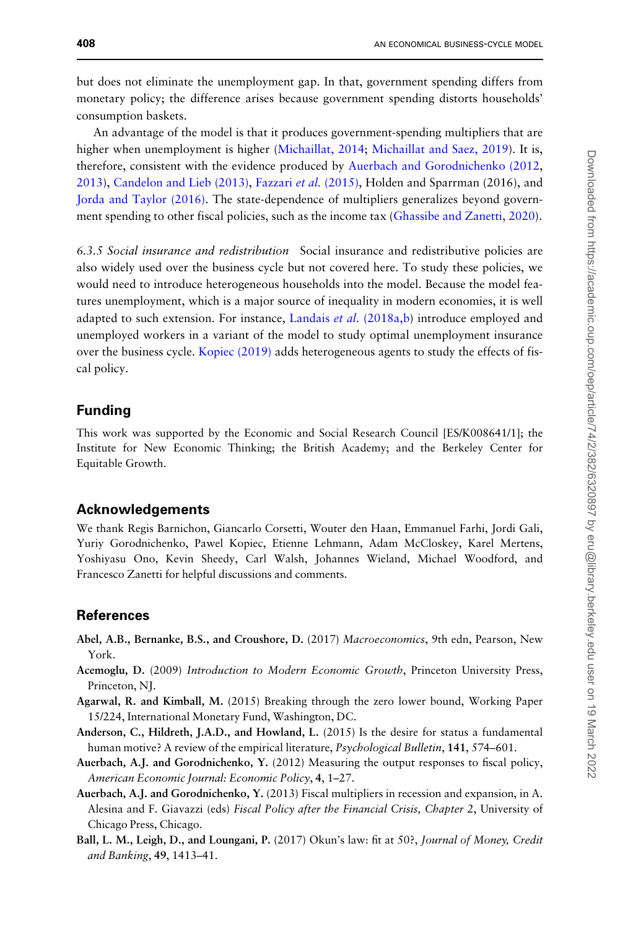<span id="page-26-0"></span>but does not eliminate the unemployment gap. In that, government spending differs from monetary policy; the difference arises because government spending distorts households' consumption baskets.

An advantage of the model is that it produces government-spending multipliers that are higher when unemployment is higher [\(Michaillat, 2014](#page-28-0); [Michaillat and Saez, 2019\)](#page-28-0). It is, therefore, consistent with the evidence produced by Auerbach and Gorodnichenko (2012, 2013), [Candelon and Lieb \(2013\),](#page-27-0) [Fazzari](#page-27-0) et al. (2015), Holden and Sparrman (2016), and [Jorda and Taylor \(2016\)](#page-28-0). The state-dependence of multipliers generalizes beyond government spending to other fiscal policies, such as the income tax ([Ghassibe and Zanetti, 2020\)](#page-27-0).

6.3.5 Social insurance and redistribution Social insurance and redistributive policies are also widely used over the business cycle but not covered here. To study these policies, we would need to introduce heterogeneous households into the model. Because the model features unemployment, which is a major source of inequality in modern economies, it is well adapted to such extension. For instance, Landais et al.  $(2018a,b)$  $(2018a,b)$  introduce employed and unemployed workers in a variant of the model to study optimal unemployment insurance over the business cycle. [Kopiec \(2019\)](#page-28-0) adds heterogeneous agents to study the effects of fiscal policy.

## Funding

This work was supported by the Economic and Social Research Council [ES/K008641/1]; the Institute for New Economic Thinking; the British Academy; and the Berkeley Center for Equitable Growth.

## Acknowledgements

We thank Regis Barnichon, Giancarlo Corsetti, Wouter den Haan, Emmanuel Farhi, Jordi Gali, Yuriy Gorodnichenko, Pawel Kopiec, Etienne Lehmann, Adam McCloskey, Karel Mertens, Yoshiyasu Ono, Kevin Sheedy, Carl Walsh, Johannes Wieland, Michael Woodford, and Francesco Zanetti for helpful discussions and comments.

## References

- Abel, A.B., Bernanke, B.S., and Croushore, D. (2017) Macroeconomics, 9th edn, Pearson, New York.
- Acemoglu, D. (2009) Introduction to Modern Economic Growth, Princeton University Press, Princeton, NJ.
- Agarwal, R. and Kimball, M. (2015) Breaking through the zero lower bound, Working Paper 15/224, International Monetary Fund, Washington, DC.
- Anderson, C., Hildreth, J.A.D., and Howland, L. (2015) Is the desire for status a fundamental human motive? A review of the empirical literature, *Psychological Bulletin*, 141, 574–601.
- Auerbach, A.J. and Gorodnichenko, Y. (2012) Measuring the output responses to fiscal policy, American Economic Journal: Economic Policy, 4, 1–27.
- Auerbach, A.J. and Gorodnichenko, Y. (2013) Fiscal multipliers in recession and expansion, in A. Alesina and F. Giavazzi (eds) Fiscal Policy after the Financial Crisis, Chapter 2, University of Chicago Press, Chicago.
- Ball, L. M., Leigh, D., and Loungani, P. (2017) Okun's law: fit at 50?, Journal of Money, Credit and Banking, 49, 1413–41.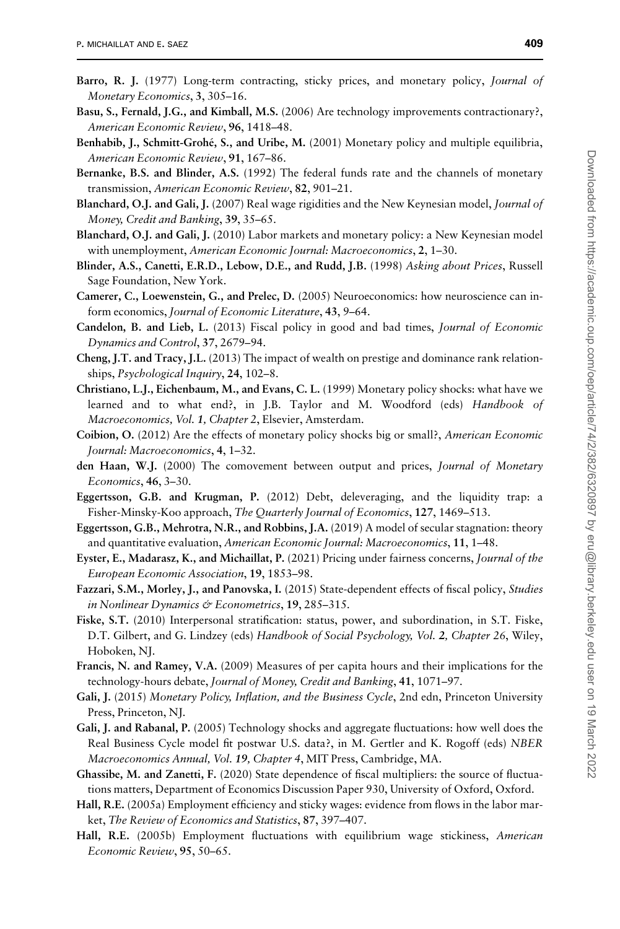- <span id="page-27-0"></span>Barro, R. J. (1977) Long-term contracting, sticky prices, and monetary policy, Journal of Monetary Economics, 3, 305–16.
- Basu, S., Fernald, J.G., and Kimball, M.S. (2006) Are technology improvements contractionary?, American Economic Review, 96, 1418–48.
- Benhabib, J., Schmitt-Grohé, S., and Uribe, M. (2001) Monetary policy and multiple equilibria, American Economic Review, 91, 167–86.
- Bernanke, B.S. and Blinder, A.S. (1992) The federal funds rate and the channels of monetary transmission, American Economic Review, 82, 901–21.
- Blanchard, O.J. and Gali, J. (2007) Real wage rigidities and the New Keynesian model, *Journal of* Money, Credit and Banking, 39, 35–65.
- Blanchard, O.J. and Gali, J. (2010) Labor markets and monetary policy: a New Keynesian model with unemployment, American Economic Journal: Macroeconomics, 2, 1–30.
- Blinder, A.S., Canetti, E.R.D., Lebow, D.E., and Rudd, J.B. (1998) Asking about Prices, Russell Sage Foundation, New York.
- Camerer, C., Loewenstein, G., and Prelec, D. (2005) Neuroeconomics: how neuroscience can inform economics, Journal of Economic Literature, 43, 9–64.
- Candelon, B. and Lieb, L. (2013) Fiscal policy in good and bad times, Journal of Economic Dynamics and Control, 37, 2679–94.
- Cheng, J.T. and Tracy, J.L. (2013) The impact of wealth on prestige and dominance rank relationships, Psychological Inquiry, 24, 102–8.
- Christiano, L.J., Eichenbaum, M., and Evans, C. L. (1999) Monetary policy shocks: what have we learned and to what end?, in J.B. Taylor and M. Woodford (eds) Handbook of Macroeconomics, Vol. 1, Chapter 2, Elsevier, Amsterdam.
- Coibion, O. (2012) Are the effects of monetary policy shocks big or small?, American Economic Journal: Macroeconomics, 4, 1–32.
- den Haan, W.J. (2000) The comovement between output and prices, Journal of Monetary Economics, 46, 3–30.
- Eggertsson, G.B. and Krugman, P. (2012) Debt, deleveraging, and the liquidity trap: a Fisher-Minsky-Koo approach, The Quarterly Journal of Economics, 127, 1469–513.
- Eggertsson, G.B., Mehrotra, N.R., and Robbins, J.A. (2019) A model of secular stagnation: theory and quantitative evaluation, American Economic Journal: Macroeconomics, 11, 1–48.
- Eyster, E., Madarasz, K., and Michaillat, P. (2021) Pricing under fairness concerns, *Journal of the* European Economic Association, 19, 1853–98.
- Fazzari, S.M., Morley, J., and Panovska, I. (2015) State-dependent effects of fiscal policy, Studies in Nonlinear Dynamics & Econometrics, 19, 285-315.
- Fiske, S.T. (2010) Interpersonal stratification: status, power, and subordination, in S.T. Fiske, D.T. Gilbert, and G. Lindzey (eds) Handbook of Social Psychology, Vol. 2, Chapter 26, Wiley, Hoboken, NJ.
- Francis, N. and Ramey, V.A. (2009) Measures of per capita hours and their implications for the technology-hours debate, Journal of Money, Credit and Banking, 41, 1071–97.
- Gali, J. (2015) Monetary Policy, Inflation, and the Business Cycle, 2nd edn, Princeton University Press, Princeton, NJ.
- Gali, J. and Rabanal, P. (2005) Technology shocks and aggregate fluctuations: how well does the Real Business Cycle model fit postwar U.S. data?, in M. Gertler and K. Rogoff (eds) NBER Macroeconomics Annual, Vol. 19, Chapter 4, MIT Press, Cambridge, MA.
- Ghassibe, M. and Zanetti, F. (2020) State dependence of fiscal multipliers: the source of fluctuations matters, Department of Economics Discussion Paper 930, University of Oxford, Oxford.
- Hall, R.E. (2005a) Employment efficiency and sticky wages: evidence from flows in the labor market, The Review of Economics and Statistics, 87, 397–407.
- Hall, R.E. (2005b) Employment fluctuations with equilibrium wage stickiness, American Economic Review, 95, 50–65.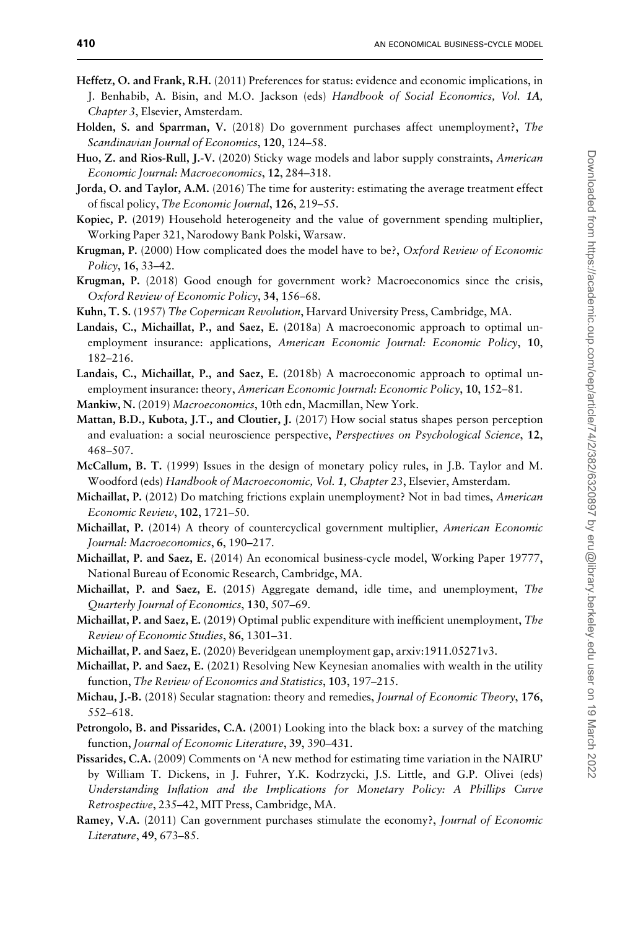- <span id="page-28-0"></span>Heffetz, O. and Frank, R.H. (2011) Preferences for status: evidence and economic implications, in J. Benhabib, A. Bisin, and M.O. Jackson (eds) Handbook of Social Economics, Vol. 1A, Chapter 3, Elsevier, Amsterdam.
- Holden, S. and Sparrman, V. (2018) Do government purchases affect unemployment?, The Scandinavian Journal of Economics, 120, 124–58.
- Huo, Z. and Rios-Rull, J.-V. (2020) Sticky wage models and labor supply constraints, American Economic Journal: Macroeconomics, 12, 284–318.
- Jorda, O. and Taylor, A.M. (2016) The time for austerity: estimating the average treatment effect of fiscal policy, The Economic Journal, 126, 219–55.
- Kopiec, P. (2019) Household heterogeneity and the value of government spending multiplier, Working Paper 321, Narodowy Bank Polski, Warsaw.
- Krugman, P. (2000) How complicated does the model have to be?, Oxford Review of Economic Policy, 16, 33–42.
- Krugman, P. (2018) Good enough for government work? Macroeconomics since the crisis, Oxford Review of Economic Policy, 34, 156–68.
- Kuhn, T. S. (1957) The Copernican Revolution, Harvard University Press, Cambridge, MA.
- Landais, C., Michaillat, P., and Saez, E. (2018a) A macroeconomic approach to optimal unemployment insurance: applications, American Economic Journal: Economic Policy, 10, 182–216.
- Landais, C., Michaillat, P., and Saez, E. (2018b) A macroeconomic approach to optimal unemployment insurance: theory, American Economic Journal: Economic Policy, 10, 152–81.
- Mankiw, N. (2019) Macroeconomics, 10th edn, Macmillan, New York.
- Mattan, B.D., Kubota, J.T., and Cloutier, J. (2017) How social status shapes person perception and evaluation: a social neuroscience perspective, Perspectives on Psychological Science, 12, 468–507.
- McCallum, B. T. (1999) Issues in the design of monetary policy rules, in J.B. Taylor and M. Woodford (eds) Handbook of Macroeconomic, Vol. 1, Chapter 23, Elsevier, Amsterdam.
- Michaillat, P. (2012) Do matching frictions explain unemployment? Not in bad times, American Economic Review, 102, 1721–50.
- Michaillat, P. (2014) A theory of countercyclical government multiplier, American Economic Journal: Macroeconomics, 6, 190–217.
- Michaillat, P. and Saez, E. (2014) An economical business-cycle model, Working Paper 19777, National Bureau of Economic Research, Cambridge, MA.
- Michaillat, P. and Saez, E. (2015) Aggregate demand, idle time, and unemployment, The Quarterly Journal of Economics, 130, 507–69.
- Michaillat, P. and Saez, E. (2019) Optimal public expenditure with inefficient unemployment, The Review of Economic Studies, 86, 1301–31.
- Michaillat, P. and Saez, E. (2020) Beveridgean unemployment gap, arxiv:1911.05271v3.
- Michaillat, P. and Saez, E. (2021) Resolving New Keynesian anomalies with wealth in the utility function, The Review of Economics and Statistics, 103, 197–215.
- Michau, J.-B. (2018) Secular stagnation: theory and remedies, Journal of Economic Theory, 176, 552–618.
- Petrongolo, B. and Pissarides, C.A. (2001) Looking into the black box: a survey of the matching function, Journal of Economic Literature, 39, 390–431.
- Pissarides, C.A. (2009) Comments on 'A new method for estimating time variation in the NAIRU' by William T. Dickens, in J. Fuhrer, Y.K. Kodrzycki, J.S. Little, and G.P. Olivei (eds) Understanding Inflation and the Implications for Monetary Policy: A Phillips Curve Retrospective, 235–42, MIT Press, Cambridge, MA.
- Ramey, V.A. (2011) Can government purchases stimulate the economy?, Journal of Economic Literature, 49, 673–85.